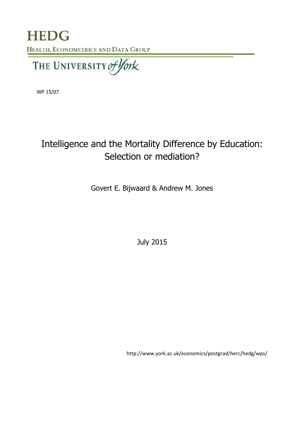**HEDG** HEALTH, ECONOMETRICS AND DATA GROUP

THE UNIVERSITY of York

WP 15/07

# Intelligence and the Mortality Difference by Education: Selection or mediation?

Govert E. Bijwaard & Andrew M. Jones

July 2015

http://www.york.ac.uk/economics/postgrad/herc/hedg/wps/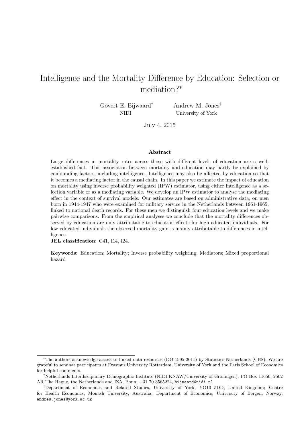## Intelligence and the Mortality Difference by Education: Selection or mediation?*<sup>∗</sup>*

Govert E. Bijwaard*†* NIDI

Andrew M. Jones*‡* University of York

July 4, 2015

#### **Abstract**

Large differences in mortality rates across those with different levels of education are a wellestablished fact. This association between mortality and education may partly be explained by confounding factors, including intelligence. Intelligence may also be affected by education so that it becomes a mediating factor in the causal chain. In this paper we estimate the impact of education on mortality using inverse probability weighted (IPW) estimator, using either intelligence as a selection variable or as a mediating variable. We develop an IPW estimator to analyse the mediating effect in the context of survival models. Our estimates are based on administrative data, on men born in 1944-1947 who were examined for military service in the Netherlands between 1961-1965, linked to national death records. For these men we distinguish four education levels and we make pairwise comparisons. From the empirical analyses we conclude that the mortality differences observed by education are only attributable to education effects for high educated individuals. For low educated individuals the observed mortality gain is mainly attributable to differences in intelligence.

**JEL classification:** C41, I14, I24.

**Keywords:** Education; Mortality; Inverse probability weighting; Mediators; Mixed proportional hazard

*<sup>∗</sup>*The authors acknowledge access to linked data resources (DO 1995-2011) by Statistics Netherlands (CBS). We are grateful to seminar participants at Erasmus University Rotterdam, University of York and the Paris School of Economics for helpful comments.

<sup>&</sup>lt;sup>†</sup>Netherlands Interdisciplinary Demographic Institute (NIDI-KNAW/University of Groningen), PO Box 11650, 2502 AR The Hague, the Netherlands and IZA, Bonn, +31 70 3565224, bijwaard@nidi.nl

*<sup>‡</sup>*Department of Economics and Related Studies, University of York, YO10 5DD, United Kingdom; Centre for Health Economics, Monash University, Australia; Department of Economics, University of Bergen, Norway, andrew.jones@york.ac.uk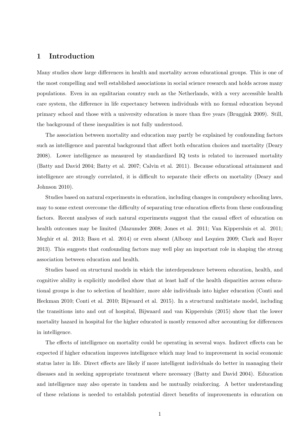## **1 Introduction**

Many studies show large differences in health and mortality across educational groups. This is one of the most compelling and well established associations in social science research and holds across many populations. Even in an egalitarian country such as the Netherlands, with a very accessible health care system, the difference in life expectancy between individuals with no formal education beyond primary school and those with a university education is more than five years (Bruggink 2009). Still, the background of these inequalities is not fully understood.

The association between mortality and education may partly be explained by confounding factors such as intelligence and parental background that affect both education choices and mortality (Deary 2008). Lower intelligence as measured by standardized IQ tests is related to increased mortality (Batty and David 2004; Batty et al. 2007; Calvin et al. 2011). Because educational attainment and intelligence are strongly correlated, it is difficult to separate their effects on mortality (Deary and Johnson 2010).

Studies based on natural experiments in education, including changes in compulsory schooling laws, may to some extent overcome the difficulty of separating true education effects from these confounding factors. Recent analyses of such natural experiments suggest that the causal effect of education on health outcomes may be limited (Mazumder 2008; Jones et al. 2011; Van Kippersluis et al. 2011; Meghir et al. 2013; Basu et al. 2014) or even absent (Albouy and Lequien 2009; Clark and Royer 2013). This suggests that confounding factors may well play an important role in shaping the strong association between education and health.

Studies based on structural models in which the interdependence between education, health, and cognitive ability is explicitly modelled show that at least half of the health disparities across educational groups is due to selection of healthier, more able individuals into higher education (Conti and Heckman 2010; Conti et al. 2010; Bijwaard et al. 2015). In a structural multistate model, including the transitions into and out of hospital, Bijwaard and van Kippersluis (2015) show that the lower mortality hazard in hospital for the higher educated is mostly removed after accounting for differences in intelligence.

The effects of intelligence on mortality could be operating in several ways. Indirect effects can be expected if higher education improves intelligence which may lead to improvement in social economic status later in life. Direct effects are likely if more intelligent individuals do better in managing their diseases and in seeking appropriate treatment where necessary (Batty and David 2004). Education and intelligence may also operate in tandem and be mutually reinforcing. A better understanding of these relations is needed to establish potential direct benefits of improvements in education on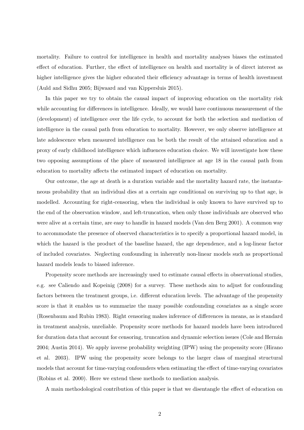mortality. Failure to control for intelligence in health and mortality analyses biases the estimated effect of education. Further, the effect of intelligence on health and mortality is of direct interest as higher intelligence gives the higher educated their efficiency advantage in terms of health investment (Auld and Sidhu 2005; Bijwaard and van Kippersluis 2015).

In this paper we try to obtain the causal impact of improving education on the mortality risk while accounting for differences in intelligence. Ideally, we would have continuous measurement of the (development) of intelligence over the life cycle, to account for both the selection and mediation of intelligence in the causal path from education to mortality. However, we only observe intelligence at late adolescence when measured intelligence can be both the result of the attained education and a proxy of early childhood intelligence which influences education choice. We will investigate how these two opposing assumptions of the place of measured intelligence at age 18 in the causal path from education to mortality affects the estimated impact of education on mortality.

Our outcome, the age at death is a duration variable and the mortality hazard rate, the instantaneous probability that an individual dies at a certain age conditional on surviving up to that age, is modelled. Accounting for right-censoring, when the individual is only known to have survived up to the end of the observation window, and left-truncation, when only those individuals are observed who were alive at a certain time, are easy to handle in hazard models (Van den Berg 2001). A common way to accommodate the presence of observed characteristics is to specify a proportional hazard model, in which the hazard is the product of the baseline hazard, the age dependence, and a log-linear factor of included covariates. Neglecting confounding in inherently non-linear models such as proportional hazard models leads to biased inference.

Propensity score methods are increasingly used to estimate causal effects in observational studies, e.g. see Caliendo and Kopeinig (2008) for a survey. These methods aim to adjust for confounding factors between the treatment groups, i.e. different education levels. The advantage of the propensity score is that it enables us to summarize the many possible confounding covariates as a single score (Rosenbaum and Rubin 1983). Right censoring makes inference of differences in means, as is standard in treatment analysis, unreliable. Propensity score methods for hazard models have been introduced for duration data that account for censoring, truncation and dynamic selection issues (Cole and Hernán 2004; Austin 2014). We apply inverse probability weighting (IPW) using the propensity score (Hirano et al. 2003). IPW using the propensity score belongs to the larger class of marginal structural models that account for time-varying confounders when estimating the effect of time-varying covariates (Robins et al. 2000). Here we extend these methods to mediation analysis.

A main methodological contribution of this paper is that we disentangle the effect of education on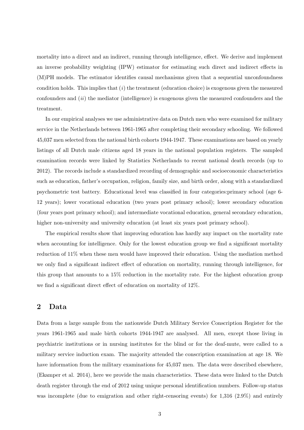mortality into a direct and an indirect, running through intelligence, effect. We derive and implement an inverse probability weighting (IPW) estimator for estimating such direct and indirect effects in (M)PH models. The estimator identifies causal mechanisms given that a sequential unconfoundness condition holds. This implies that (*i*) the treatment (education choice) is exogenous given the measured confounders and (*ii*) the mediator (intelligence) is exogenous given the measured confounders and the treatment.

In our empirical analyses we use administrative data on Dutch men who were examined for military service in the Netherlands between 1961-1965 after completing their secondary schooling. We followed 45,037 men selected from the national birth cohorts 1944-1947. These examinations are based on yearly listings of all Dutch male citizens aged 18 years in the national population registers. The sampled examination records were linked by Statistics Netherlands to recent national death records (up to 2012). The records include a standardized recording of demographic and socioeconomic characteristics such as education, father's occupation, religion, family size, and birth order, along with a standardized psychometric test battery. Educational level was classified in four categories:primary school (age 6- 12 years); lower vocational education (two years post primary school); lower secondary education (four years post primary school); and intermediate vocational education, general secondary education, higher non-university and university education (at least six years post primary school).

The empirical results show that improving education has hardly any impact on the mortality rate when accounting for intelligence. Only for the lowest education group we find a significant mortality reduction of 11% when these men would have improved their education. Using the mediation method we only find a significant indirect effect of education on mortality, running through intelligence, for this group that amounts to a 15% reduction in the mortality rate. For the highest education group we find a significant direct effect of education on mortality of 12%.

## **2 Data**

Data from a large sample from the nationwide Dutch Military Service Conscription Register for the years 1961-1965 and male birth cohorts 1944-1947 are analysed. All men, except those living in psychiatric institutions or in nursing institutes for the blind or for the deaf-mute, were called to a military service induction exam. The majority attended the conscription examination at age 18. We have information from the military examinations for 45,037 men. The data were described elsewhere, (Ekamper et al. 2014), here we provide the main characteristics. These data were linked to the Dutch death register through the end of 2012 using unique personal identification numbers. Follow-up status was incomplete (due to emigration and other right-censoring events) for 1,316 (2.9%) and entirely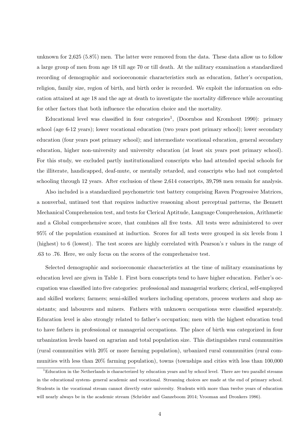unknown for 2,625 (5.8%) men. The latter were removed from the data. These data allow us to follow a large group of men from age 18 till age 70 or till death. At the military examination a standardized recording of demographic and socioeconomic characteristics such as education, father's occupation, religion, family size, region of birth, and birth order is recorded. We exploit the information on education attained at age 18 and the age at death to investigate the mortality difference while accounting for other factors that both influence the education choice and the mortality.

Educational level was classified in four categories<sup>1</sup>, (Doornbos and Kromhout 1990): primary school (age 6-12 years); lower vocational education (two years post primary school); lower secondary education (four years post primary school); and intermediate vocational education, general secondary education, higher non-university and university education (at least six years post primary school). For this study, we excluded partly institutionalized conscripts who had attended special schools for the illiterate, handicapped, deaf-mute, or mentally retarded, and conscripts who had not completed schooling through 12 years. After exclusion of these 2,614 conscripts, 39,798 men remain for analysis.

Also included is a standardized psychometric test battery comprising Raven Progressive Matrices, a nonverbal, untimed test that requires inductive reasoning about perceptual patterns, the Bennett Mechanical Comprehension test, and tests for Clerical Aptitude, Language Comprehension, Arithmetic and a Global comprehensive score, that combines all five tests. All tests were administered to over 95% of the population examined at induction. Scores for all tests were grouped in six levels from 1 (highest) to 6 (lowest). The test scores are highly correlated with Pearson's r values in the range of .63 to .76. Here, we only focus on the scores of the comprehensive test.

Selected demographic and socioeconomic characteristics at the time of military examinations by education level are given in Table 1. First born conscripts tend to have higher education. Father's occupation was classified into five categories: professional and managerial workers; clerical, self-employed and skilled workers; farmers; semi-skilled workers including operators, process workers and shop assistants; and labourers and miners. Fathers with unknown occupations were classified separately. Education level is also strongly related to father's occupation; men with the highest education tend to have fathers in professional or managerial occupations. The place of birth was categorized in four urbanization levels based on agrarian and total population size. This distinguishes rural communities (rural communities with 20% or more farming population), urbanized rural communities (rural communities with less than 20% farming population), towns (townships and cities with less than 100,000

 $1<sup>1</sup>$ Education in the Netherlands is characterized by education years and by school level. There are two parallel streams in the educational system- general academic and vocational. Streaming choices are made at the end of primary school. Students in the vocational stream cannot directly enter university. Students with more than twelve years of education will nearly always be in the academic stream (Schröder and Ganzeboom 2014; Vrooman and Dronkers 1986).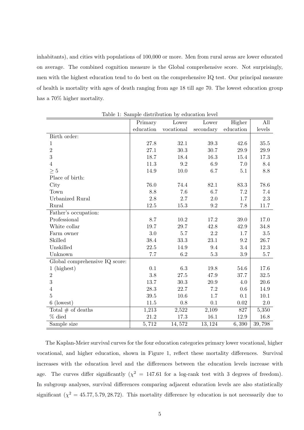inhabitants), and cities with populations of 100,000 or more. Men from rural areas are lower educated on average. The combined cognition measure is the Global comprehensive score. Not surprisingly, men with the highest education tend to do best on the comprehensive IQ test. Our principal measure of health is mortality with ages of death ranging from age 18 till age 70. The lowest education group has a 70% higher mortality.

|                                | Primary   | Lower      | Lower     | Higher            | All      |
|--------------------------------|-----------|------------|-----------|-------------------|----------|
|                                | education | vocational | secondary | ${\it education}$ | levels   |
| Birth order:                   |           |            |           |                   |          |
| 1                              | 27.8      | 32.1       | 39.3      | 42.6              | 35.5     |
| $\overline{2}$                 | 27.1      | 30.3       | 30.7      | 29.9              | $29.9\,$ |
| 3                              | 18.7      | 18.4       | 16.3      | 15.4              | 17.3     |
| $\overline{4}$                 | 11.3      | 9.2        | 6.9       | 7.0               | 8.4      |
| $\geq 5$                       | 14.9      | $10.0\,$   | 6.7       | 5.1               | $8.8\,$  |
| Place of birth:                |           |            |           |                   |          |
| City                           | 76.0      | 74.4       | 82.1      | $83.3\,$          | 78.6     |
| Town                           | 8.8       | 7.6        | 6.7       | 7.2               | 7.4      |
| Urbanized Rural                | 2.8       | 2.7        | 2.0       | 1.7               | $2.3\,$  |
| Rural                          | 12.5      | 15.3       | 9.2       | 7.8               | 11.7     |
| Father's occupation:           |           |            |           |                   |          |
| Professional                   | 8.7       | 10.2       | 17.2      | 39.0              | 17.0     |
| White collar                   | 19.7      | 29.7       | 42.8      | 42.9              | 34.8     |
| Farm owner                     | 3.0       | 5.7        | 2.2       | 1.7               | $3.5\,$  |
| Skilled                        | 38.4      | 33.3       | 23.1      | 9.2               | $26.7\,$ |
| Unskilled                      | 22.5      | 14.9       | 9.4       | 3.4               | 12.3     |
| Unknown                        | 7.7       | 6.2        | 5.3       | 3.9               | $5.7\,$  |
| Global comprehensive IQ score: |           |            |           |                   |          |
| $1$ (highest)                  | 0.1       | 6.3        | 19.8      | 54.6              | 17.6     |
| $\sqrt{2}$                     | 3.8       | 27.5       | 47.9      | 37.7              | $32.5\,$ |
| 3                              | 13.7      | 30.3       | 20.9      | 4.0               | $20.6\,$ |
| $\overline{4}$                 | 28.3      | 22.7       | 7.2       | 0.6               | 14.9     |
| $\overline{5}$                 | 39.5      | 10.6       | 1.7       | 0.1               | 10.1     |
| (lowest)<br>6                  | 11.5      | $0.8\,$    | 0.1       | $0.02\,$          | $2.0\,$  |
| Total $#$ of deaths            | 1,213     | 2,522      | 2,109     | 827               | 5,350    |
| $%$ died                       | 21.2      | 17.3       | $16.1\,$  | 12.9              | 16.8     |
| Sample size                    | 5,712     | 14,572     | 13, 124   | 6,390             | 39,798   |

Table 1: Sample distribution by education level

The Kaplan-Meier survival curves for the four education categories primary lower vocational, higher vocational, and higher education, shown in Figure 1, reflect these mortality differences. Survival increases with the education level and the differences between the education levels increase with age. The curves differ significantly  $(\chi^2 = 147.61$  for a log-rank test with 3 degrees of freedom). In subgroup analyses, survival differences comparing adjacent education levels are also statistically significant  $(\chi^2 = 45.77, 5.79, 28.72)$ . This mortality difference by education is not necessarily due to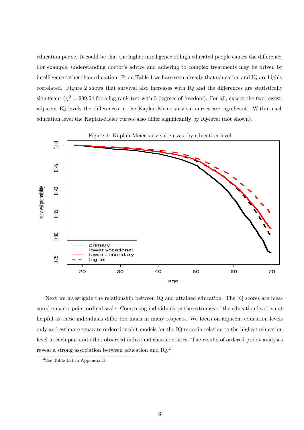education per se. It could be that the higher intelligence of high educated people causes the difference. For example, understanding doctor's advice and adhering to complex treatments may be driven by intelligence rather than education. From Table 1 we have seen already that education and IQ are highly correlated. Figure 2 shows that survival also increases with IQ and the differences are statistically significant ( $\chi^2 = 239.54$  for a log-rank test with 5 degrees of freedom). For all, except the two lowest, adjacent IQ levels the differences in the Kaplan-Meier survival curves are significant. Within each education level the Kaplan-Meier curves also differ significantly by IQ-level (not shown).



Next we investigate the relationship between IQ and attained education. The IQ scores are measured on a six-point ordinal scale. Comparing individuals on the extremes of the education level is not helpful as these individuals differ too much in many respects. We focus on adjacent education levels only and estimate separate ordered probit models for the IQ-score in relation to the highest education level in each pair and other observed individual characteristics. The results of ordered probit analyses reveal a strong association between education and IQ.<sup>2</sup>

<sup>&</sup>lt;sup>2</sup>See Table B.1 in Appendix B.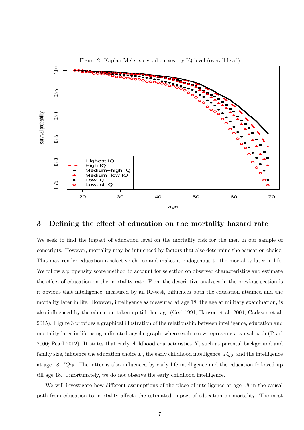

### **3 Defining the effect of education on the mortality hazard rate**

We seek to find the impact of education level on the mortality risk for the men in our sample of conscripts. However, mortality may be influenced by factors that also determine the education choice. This may render education a selective choice and makes it endogenous to the mortality later in life. We follow a propensity score method to account for selection on observed characteristics and estimate the effect of education on the mortality rate. From the descriptive analyses in the previous section is it obvious that intelligence, measured by an IQ-test, influences both the education attained and the mortality later in life. However, intelligence as measured at age 18, the age at military examination, is also influenced by the education taken up till that age (Ceci 1991; Hansen et al. 2004; Carlsson et al. 2015). Figure 3 provides a graphical illustration of the relationship between intelligence, education and mortality later in life using a directed acyclic graph, where each arrow represents a causal path (Pearl 2000; Pearl 2012). It states that early childhood characteristics *X*, such as parental background and family size, influence the education choice  $D$ , the early childhood intelligence,  $IQ_0$ , and the intelligence at age 18, *IQ*18. The latter is also influenced by early life intelligence and the education followed up till age 18. Unfortunately, we do not observe the early childhood intelligence.

We will investigate how different assumptions of the place of intelligence at age 18 in the causal path from education to mortality affects the estimated impact of education on mortality. The most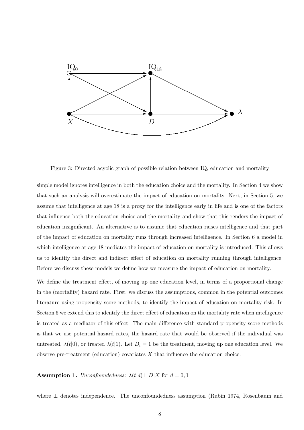

Figure 3: Directed acyclic graph of possible relation between IQ, education and mortality

simple model ignores intelligence in both the education choice and the mortality. In Section 4 we show that such an analysis will overestimate the impact of education on mortality. Next, in Section 5, we assume that intelligence at age 18 is a proxy for the intelligence early in life and is one of the factors that influence both the education choice and the mortality and show that this renders the impact of education insignificant. An alternative is to assume that education raises intelligence and that part of the impact of education on mortality runs through increased intelligence. In Section 6 a model in which intelligence at age 18 mediates the impact of education on mortality is introduced. This allows us to identify the direct and indirect effect of education on mortality running through intelligence. Before we discuss these models we define how we measure the impact of education on mortality.

We define the treatment effect, of moving up one education level, in terms of a proportional change in the (mortality) hazard rate. First, we discuss the assumptions, common in the potential outcomes literature using propensity score methods, to identify the impact of education on mortality risk. In Section 6 we extend this to identify the direct effect of education on the mortality rate when intelligence is treated as a mediator of this effect. The main difference with standard propensity score methods is that we use potential hazard rates, the hazard rate that would be observed if the individual was untreated,  $\lambda(t|0)$ , or treated  $\lambda(t|1)$ . Let  $D_i = 1$  be the treatment, moving up one education level. We observe pre-treatment (education) covariates *X* that influence the education choice.

**Assumption 1.** *Unconfoundedness:*  $\lambda(t|d)$   $\perp$  *D*|*X* for *d* = 0*,* 1

where *⊥* denotes independence. The unconfoundedness assumption (Rubin 1974, Rosenbaum and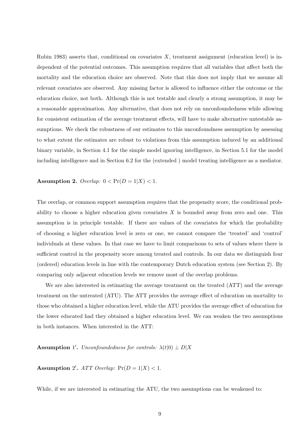Rubin 1983) asserts that, conditional on covariates *X*, treatment assignment (education level) is independent of the potential outcomes. This assumption requires that all variables that affect both the mortality and the education choice are observed. Note that this does not imply that we assume all relevant covariates are observed. Any missing factor is allowed to influence either the outcome or the education choice, not both. Although this is not testable and clearly a strong assumption, it may be a reasonable approximation. Any alternative, that does not rely on unconfoundedness while allowing for consistent estimation of the average treatment effects, will have to make alternative untestable assumptions. We check the robustness of our estimates to this unconfoundness assumption by assessing to what extent the estimates are robust to violations from this assumption induced by an additional binary variable, in Section 4.1 for the simple model ignoring intelligence, in Section 5.1 for the model including intelligence and in Section 6.2 for the (extended ) model treating intelligence as a mediator.

**Assumption 2.** *Overlap:*  $0 < \Pr(D = 1 | X) < 1$ .

The overlap, or common support assumption requires that the propensity score, the conditional probability to choose a higher education given covariates *X* is bounded away from zero and one. This assumption is in principle testable. If there are values of the covariates for which the probability of choosing a higher education level is zero or one, we cannot compare the 'treated' and 'control' individuals at these values. In that case we have to limit comparisons to sets of values where there is sufficient control in the propensity score among treated and controls. In our data we distinguish four (ordered) education levels in line with the contemporary Dutch education system (see Section 2). By comparing only adjacent education levels we remove most of the overlap problems.

We are also interested in estimating the average treatment on the treated (ATT) and the average treatment on the untreated (ATU). The ATT provides the average effect of education on mortality to those who obtained a higher education level, while the ATU provides the average effect of education for the lower educated had they obtained a higher education level. We can weaken the two assumptions in both instances. When interested in the ATT:

**Assumption** 1'. *Unconfoundedness for controls:*  $\lambda(t|0) \perp D|X$ 

**Assumption** 2'.  $ATT$  Overlap:  $Pr(D = 1|X) < 1$ .

While, if we are interested in estimating the ATU, the two assumptions can be weakened to: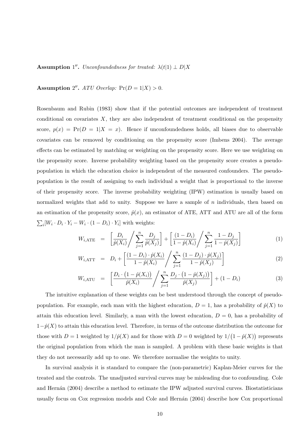**Assumption** 1''. *Unconfoundedness for treated:*  $\lambda(t|1) \perp D|X$ 

#### **Assumption** 2''. ATU Overlap:  $Pr(D = 1|X) > 0$ .

Rosenbaum and Rubin (1983) show that if the potential outcomes are independent of treatment conditional on covariates *X*, they are also independent of treatment conditional on the propensity score,  $p(x) = Pr(D = 1|X = x)$ . Hence if unconfoundedness holds, all biases due to observable covariates can be removed by conditioning on the propensity score (Imbens 2004). The average effects can be estimated by matching or weighting on the propensity score. Here we use weighting on the propensity score. Inverse probability weighting based on the propensity score creates a pseudopopulation in which the education choice is independent of the measured confounders. The pseudopopulation is the result of assigning to each individual a weight that is proportional to the inverse of their propensity score. The inverse probability weighting (IPW) estimation is usually based on normalized weights that add to unity. Suppose we have a sample of *n* individuals, then based on an estimation of the propensity score,  $\hat{p}(x)$ , an estimator of ATE, ATT and ATU are all of the form  $\sum_i [W_i \cdot D_i \cdot Y_i - W_i \cdot (1 - D_i) \cdot Y_i]$  with weights:

$$
W_{i, \text{ATE}} = \left[ \frac{D_i}{\hat{p}(X_i)} / \sum_{j=1}^n \frac{D_j}{\hat{p}(X_j)} \right] + \left[ \frac{(1 - D_i)}{1 - \hat{p}(X_i)} / \sum_{j=1}^n \frac{1 - D_j}{1 - \hat{p}(X_j)} \right]
$$
(1)

$$
W_{i, \text{ATT}} = D_i + \left[ \frac{(1 - D_i) \cdot \hat{p}(X_i)}{1 - \hat{p}(X_i)} / \sum_{j=1}^n \frac{(1 - D_j) \cdot \hat{p}(X_j)}{1 - \hat{p}(X_j)} \right]
$$
(2)

$$
W_{i, \text{ATU}} = \left[ \frac{D_i \cdot (1 - \hat{p}(X_i))}{\hat{p}(X_i)} / \sum_{j=1}^n \frac{D_j \cdot (1 - \hat{p}(X_j))}{\hat{p}(X_j)} \right] + (1 - D_i)
$$
(3)

The intuitive explanation of these weights can be best understood through the concept of pseudopopulation. For example, each man with the highest education,  $D = 1$ , has a probability of  $\hat{p}(X)$  to attain this education level. Similarly, a man with the lowest education,  $D = 0$ , has a probability of 1*−p*ˆ(*X*) to attain this education level. Therefore, in terms of the outcome distribution the outcome for those with  $D = 1$  weighted by  $1/\hat{p}(X)$  and for those with  $D = 0$  weighted by  $1/(1-\hat{p}(X))$  represents the original population from which the man is sampled. A problem with these basic weights is that they do not necessarily add up to one. We therefore normalise the weights to unity.

In survival analysis it is standard to compare the (non-parametric) Kaplan-Meier curves for the treated and the controls. The unadjusted survival curves may be misleading due to confounding. Cole and Hernán (2004) describe a method to estimate the IPW adjusted survival curves. Biostatisticians usually focus on Cox regression models and Cole and Hernán (2004) describe how Cox proportional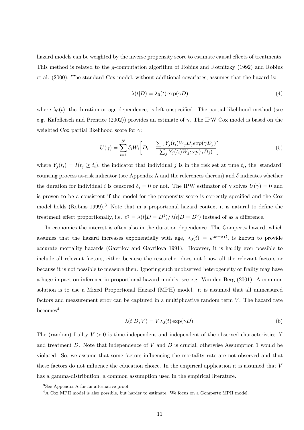hazard models can be weighted by the inverse propensity score to estimate causal effects of treatments. This method is related to the *g*-computation algorithm of Robins and Rotnitzky (1992) and Robins et al. (2000). The standard Cox model, without additional covariates, assumes that the hazard is:

$$
\lambda(t|D) = \lambda_0(t) \exp(\gamma D) \tag{4}
$$

where  $\lambda_0(t)$ , the duration or age dependence, is left unspecified. The partial likelihood method (see e.g. Kalbfleisch and Prentice (2002)) provides an estimate of *γ*. The IPW Cox model is based on the weighted Cox partial likelihood score for *γ*:

$$
U(\gamma) = \sum_{i=1}^{N} \delta_i W_i \bigg[ D_i - \frac{\sum_j Y_j(t_i) W_j D_j exp(\gamma D_j)}{\sum_j Y_j(t_i) W_j exp(\gamma D_j)} \bigg] \tag{5}
$$

where  $Y_j(t_i) = I(t_j \geq t_i)$ , the indicator that individual *j* is in the risk set at time  $t_i$ , the 'standard' counting process at-risk indicator (see Appendix A and the references therein) and  $\delta$  indicates whether the duration for individual *i* is censored  $\delta_i = 0$  or not. The IPW estimator of  $\gamma$  solves  $U(\gamma) = 0$  and is proven to be a consistent if the model for the propensity score is correctly specified and the Cox model holds (Robins 1999).<sup>3</sup> Note that in a proportional hazard context it is natural to define the treatment effect proportionally, i.e.  $e^{\gamma} = \lambda(t|D = D^1)/\lambda(t|D = D^0)$  instead of as a difference.

In economics the interest is often also in the duration dependence. The Gompertz hazard, which assumes that the hazard increases exponentially with age,  $\lambda_0(t) = e^{\alpha_0 + \alpha_1 t}$ , is known to provide accurate mortality hazards (Gavrilov and Gavrilova 1991). However, it is hardly ever possible to include all relevant factors, either because the researcher does not know all the relevant factors or because it is not possible to measure then. Ignoring such unobserved heterogeneity or frailty may have a huge impact on inference in proportional hazard models, see e.g. Van den Berg (2001). A common solution is to use a Mixed Proportional Hazard (MPH) model. it is assumed that all unmeasured factors and measurement error can be captured in a multiplicative random term V. The hazard rate  $becomes<sup>4</sup>$ 

$$
\lambda(t|D, V) = V\lambda_0(t) \exp(\gamma D),\tag{6}
$$

The (random) frailty  $V > 0$  is time-independent and independent of the observed characteristics X and treatment *D*. Note that independence of *V* and *D* is crucial, otherwise Assumption 1 would be violated. So, we assume that some factors influencing the mortality rate are not observed and that these factors do not influence the education choice. In the empirical application it is assumed that *V* has a gamma-distribution; a common assumption used in the empirical literature.

<sup>3</sup>See Appendix A for an alternative proof.

<sup>4</sup>A Cox MPH model is also possible, but harder to estimate. We focus on a Gompertz MPH model.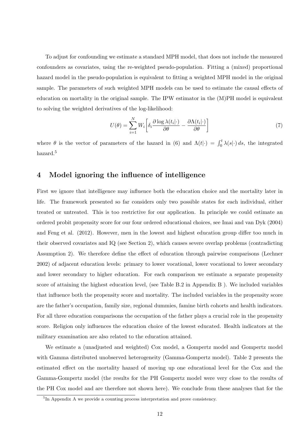To adjust for confounding we estimate a standard MPH model, that does not include the measured confounders as covariates, using the re-weighted pseudo-population. Fitting a (mixed) proportional hazard model in the pseudo-population is equivalent to fitting a weighted MPH model in the original sample. The parameters of such weighted MPH models can be used to estimate the causal effects of education on mortality in the original sample. The IPW estimator in the (M)PH model is equivalent to solving the weighted derivatives of the log-likelihood:

$$
U(\theta) = \sum_{i=1}^{N} W_i \left[ \delta_i \frac{\partial \log \lambda(t_i | \cdot)}{\partial \theta} - \frac{\partial \Lambda(t_i | \cdot)}{\partial \theta} \right]
$$
(7)

where  $\theta$  is the vector of parameters of the hazard in (6) and  $\Lambda(t|\cdot) = \int_0^t \lambda(s|\cdot) ds$ , the integrated hazard.<sup>5</sup>

## **4 Model ignoring the influence of intelligence**

First we ignore that intelligence may influence both the education choice and the mortality later in life. The framework presented so far considers only two possible states for each individual, either treated or untreated. This is too restrictive for our application. In principle we could estimate an ordered probit propensity score for our four ordered educational choices, see Imai and van Dyk (2004) and Feng et al. (2012). However, men in the lowest and highest education group differ too much in their observed covariates and IQ (see Section 2), which causes severe overlap problems (contradicting Assumption 2). We therefore define the effect of education through pairwise comparisons (Lechner 2002) of adjacent education levels: primary to lower vocational, lower vocational to lower secondary and lower secondary to higher education. For each comparison we estimate a separate propensity score of attaining the highest education level, (see Table B.2 in Appendix B ). We included variables that influence both the propensity score and mortality. The included variables in the propensity score are the father's occupation, family size, regional dummies, famine birth cohorts and health indicators. For all three education comparisons the occupation of the father plays a crucial role in the propensity score. Religion only influences the education choice of the lowest educated. Health indicators at the military examination are also related to the education attained.

We estimate a (unadjusted and weighted) Cox model, a Gompertz model and Gompertz model with Gamma distributed unobserved heterogeneity (Gamma-Gompertz model). Table 2 presents the estimated effect on the mortality hazard of moving up one educational level for the Cox and the Gamma-Gompertz model (the results for the PH Gompertz model were very close to the results of the PH Cox model and are therefore not shown here). We conclude from these analyses that for the

<sup>5</sup> In Appendix A we provide a counting process interpretation and prove consistency.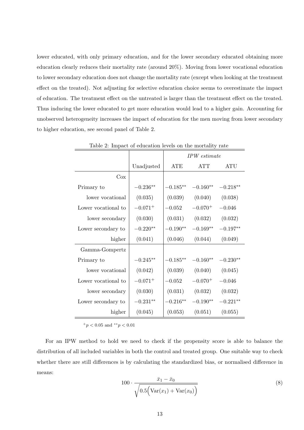lower educated, with only primary education, and for the lower secondary educated obtaining more education clearly reduces their mortality rate (around 20%). Moving from lower vocational education to lower secondary education does not change the mortality rate (except when looking at the treatment effect on the treated). Not adjusting for selective education choice seems to overestimate the impact of education. The treatment effect on the untreated is larger than the treatment effect on the treated. Thus inducing the lower educated to get more education would lead to a higher gain. Accounting for unobserved heterogeneity increases the impact of education for the men moving from lower secondary to higher education, see second panel of Table 2.

|                     |              |             | IPW estimate                      |            |
|---------------------|--------------|-------------|-----------------------------------|------------|
|                     | Unadjusted   | ${\rm ATE}$ | ATT                               | ATU        |
| Cox                 |              |             |                                   |            |
| Primary to          | $-0.236**$   |             | $-0.185***$ $-0.160**$ $-0.218**$ |            |
| lower vocational    | (0.035)      | (0.039)     | (0.040)                           | (0.038)    |
| Lower vocational to | $-0.071^{+}$ | $-0.052$    | $-0.070^{+}$                      | $-0.046$   |
| lower secondary     | (0.030)      | (0.031)     | $(0.032)$ $(0.032)$               |            |
| Lower secondary to  | $-0.220**$   | $-0.190**$  | $-0.169**$                        | $-0.197**$ |
| higher              | (0.041)      | (0.046)     | (0.044)                           | (0.049)    |
| Gamma-Gompertz      |              |             |                                   |            |
| Primary to          | $-0.245**$   |             | $-0.185***$ $-0.160**$ $-0.230**$ |            |
| lower vocational    | (0.042)      | (0.039)     | (0.040)                           | (0.045)    |
| Lower vocational to | $-0.071^{+}$ | $-0.052$    | $-0.070^{+}$                      | $-0.046$   |
| lower secondary     | (0.030)      |             | $(0.031)$ $(0.032)$ $(0.032)$     |            |
| Lower secondary to  | $-0.231**$   | $-0.216**$  | $-0.190**$                        | $-0.221**$ |
| higher              | (0.045)      | (0.053)     | (0.051)                           | (0.055)    |

Table 2: Impact of education levels on the mortality rate

<sup>+</sup>*p <* 0*.*05 and *∗∗p <* 0*.*01

For an IPW method to hold we need to check if the propensity score is able to balance the distribution of all included variables in both the control and treated group. One suitable way to check whether there are still differences is by calculating the standardized bias, or normalised difference in means:

$$
100 \cdot \frac{\bar{x}_1 - \bar{x}_0}{\sqrt{0.5(\text{Var}(x_1) + \text{Var}(x_0))}}
$$
(8)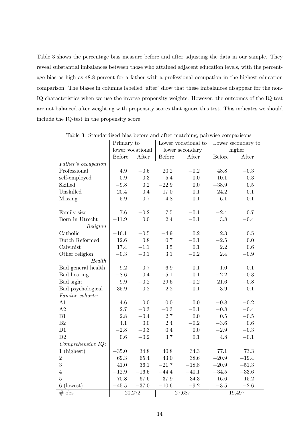Table 3 shows the percentage bias measure before and after adjusting the data in our sample. They reveal substantial imbalances between those who attained adjacent education levels, with the percentage bias as high as 48.8 percent for a father with a professional occupation in the highest education comparison. The biases in columns labelled 'after' show that these imbalances disappear for the non-IQ characteristics when we use the inverse propensity weights. However, the outcomes of the IQ-test are not balanced after weighting with propensity scores that ignore this test. This indicates we should include the IQ-test in the propensity score.

|                       | Primary to    |                  | Lower vocational to |                 | Lower secondary to |           |
|-----------------------|---------------|------------------|---------------------|-----------------|--------------------|-----------|
|                       |               | lower vocational |                     | lower secondary |                    | higher    |
|                       | <b>Before</b> | After            | Before              | After           | <b>Before</b>      | After     |
| Father's occupation   |               |                  |                     |                 |                    |           |
| Professional          | 4.9           | $-0.6$           | 20.2                | $-0.2$          | 48.8               | $-0.3$    |
| self-employed         | $-0.9$        | $-0.3$           | 5.4                 | $-0.0$          | $-10.1$            | $-0.3$    |
| Skilled               | $-9.8$        | 0.2              | $-22.9$             | 0.0             | $-38.9$            | 0.5       |
| Unskilled             | $-20.4$       | $0.4\,$          | $-17.0$             | $-0.1$          | $-24.2$            | 0.1       |
| Missing               | $\!-5.9$      | $-0.7$           | $-4.8$              | 0.1             | $-6.1$             | 0.1       |
|                       |               |                  |                     |                 |                    |           |
| Family size           | 7.6           | $\!-0.2$         | 7.5                 | $-0.1$          | $-2.4\,$           | 0.7       |
| Born in Utrecht       | $-11.9$       | 0.0              | 2.4                 | $-0.1$          | 3.8                | $-0.4$    |
| Religion              |               |                  |                     |                 |                    |           |
| Catholic              | $-16.1$       | $\!-0.5$         | $-4.9$              | 0.2             | $2.3\,$            | 0.5       |
| Dutch Reformed        | 12.6          | $0.8\,$          | 0.7                 | $-0.1$          | $-2.5\,$           | 0.0       |
| Calvinist             | 17.4          | $-1.1$           | $3.5\,$             | 0.1             | 2.2                | 0.6       |
| Other religion        | $\!-0.3$      | $-0.1$           | 3.1                 | $-0.2$          | 2.4                | $\!-0.9$  |
| Health                |               |                  |                     |                 |                    |           |
| Bad general health    | $-9.2$        | $-0.7$           | 6.9                 | 0.1             | $-1.0$             | $-0.1$    |
| Bad hearing           | $-8.6$        | 0.4              | $-5.1$              | 0.1             | $-2.2$             | $-0.3$    |
| Bad sight             | $\rm 9.9$     | $-0.2$           | $29.6\,$            | $-0.2$          | $21.6\,$           | $-0.8$    |
| Bad psychological     | $-35.9$       | $-0.2$           | $-2.2$              | 0.1             | $-3.9\,$           | $0.1\,$   |
| Famine cohorts:       |               |                  |                     |                 |                    |           |
| A1                    | 4.6           | 0.0              | 0.0                 | 0.0             | $-0.8$             | $-0.2$    |
| A2                    | 2.7           | $\!-0.3$         | $\!-0.3$            | $-0.1$          | $\!-0.8$           | $-0.4$    |
| B1                    | 2.8           | $-0.4$           | 2.7                 | 0.0             | 0.5                | $-0.5$    |
| B <sub>2</sub>        | 4.1           | $0.0\,$          | 2.4                 | $-0.2$          | $-3.6\,$           | 0.6       |
| D1                    | $-2.8$        | $-0.3\,$         | 0.4                 | 0.0             | $-2.9\,$           | $\!-0.3$  |
| D2                    | $0.6\,$       | $-0.2$           | $3.7\,$             | $0.1\,$         | $4.8\,$            | $-0.1$    |
| $Comprehensive$ $IQ:$ |               |                  |                     |                 |                    |           |
| 1 (highest)           | $-35.0$       | 34.8             | 40.8                | 34.3            | 77.1               | 73.3      |
| $\overline{2}$        | 69.3          | 65.4             | $43.0\,$            | $38.6\,$        | $-20.9$            | $-19.4$   |
| 3                     | 41.0          | 36.1             | $-21.7$             | $-18.8$         | $-20.9$            | $-51.3$   |
| $\overline{4}$        | $-12.9$       | $-16.6$          | $-44.4$             | $-40.1$         | $-34.5$            | $-33.6$   |
| $\overline{5}$        | $-70.8$       | $-67.6$          | $-37.9$             | $-34.3$         | $-16.6$            | $-15.2\,$ |
| $6$ (lowest)          | $-45.5$       | $-37.0$          | $-10.6\,$           | $\!-9.2$        | $-3.5$             | $-2.6$    |
| $#$ obs               |               | 20,272           |                     | 27,687          |                    | 19,497    |

Table 3: Standardized bias before and after matching, pairwise comparisons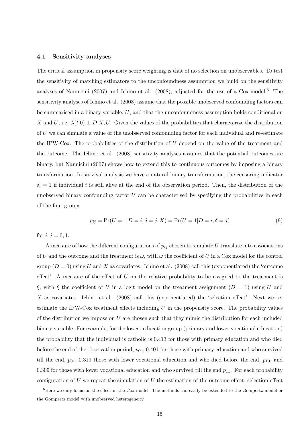#### **4.1 Sensitivity analyses**

The critical assumption in propensity score weighting is that of no selection on unobservables. To test the sensitivity of matching estimators to the unconfoundness assumption we build on the sensitivity analyses of Nannicini (2007) and Ichino et al. (2008), adjusted for the use of a Cox-model.<sup>6</sup> The sensitivity analyses of Ichino et al. (2008) assume that the possible unobserved confounding factors can be summarised in a binary variable, *U*, and that the unconfoundness assumption holds conditional on *X* and *U*, i.e.  $\lambda(t|0) \perp D|X, U$ . Given the values of the probabilities that characterize the distribution of *U* we can simulate a value of the unobserved confounding factor for each individual and re-estimate the IPW-Cox. The probabilities of the distribution of *U* depend on the value of the treatment and the outcome. The Ichino et al. (2008) sensitivity analyses assumes that the potential outcomes are binary, but Nannicini (2007) shows how to extend this to continuous outcomes by imposing a binary transformation. In survival analysis we have a natural binary transformation, the censoring indicator  $\delta_i = 1$  if individual *i* is still alive at the end of the observation period. Then, the distribution of the unobserved binary confounding factor *U* can be characterised by specifying the probabilities in each of the four groups.

$$
p_{ij} = \Pr(U = 1|D = i, \delta = j, X) = \Pr(U = 1|D = i, \delta = j)
$$
\n(9)

for  $i, j = 0, 1$ .

A measure of how the different configurations of  $p_{ij}$  chosen to simulate  $U$  translate into associations of *U* and the outcome and the treatment is  $\omega$ , with  $\omega$  the coefficient of *U* in a Cox model for the control group  $(D = 0)$  using *U* and *X* as covariates. Ichino et al. (2008) call this (exponentiated) the 'outcome effect'. A measure of the effect of *U* on the relative probability to be assigned to the treatment is ξ, with ξ the coefficient of *U* in a logit model on the treatment assignment  $(D = 1)$  using *U* and X as covariates. Ichino et al. (2008) call this (exponentiated) the 'selection effect'. Next we reestimate the IPW-Cox treatment effects including *U* in the propensity score. The probability values of the distribution we impose on *U* are chosen such that they mimic the distribution for each included binary variable. For example, for the lowest education group (primary and lower vocational education) the probability that the individual is catholic is 0.413 for those with primary education and who died before the end of the observation period,  $p_{00}$ , 0.401 for those with primary education and who survived till the end,  $p_{01}$ , 0.319 those with lower vocational education and who died before the end,  $p_{10}$ , and 0.309 for those with lower vocational education and who survived till the end  $p_{11}$ . For each probability configuration of *U* we repeat the simulation of *U* the estimation of the outcome effect, selection effect

<sup>&</sup>lt;sup>6</sup>Here we only focus on the effect in the Cox model. The methods can easily be extended to the Gompertz model or the Gompertz model with unobserved heterogeneity.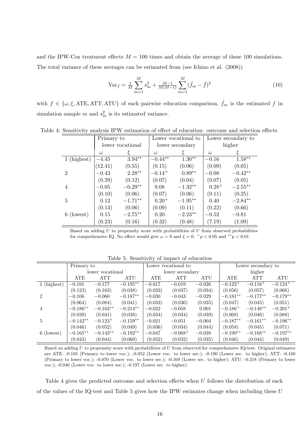and the IPW-Cox treatment effects  $M = 100$  times and obtain the average of these 100 simulations. The total variance of these averages can be estimated from (see Ichino et al. (2008))

$$
\text{Var}_f = \frac{1}{M} \sum_{m=1}^{M} s_m^2 + \frac{M-1}{M(M-1)} \sum_{m=1}^{M} (\hat{f}_m - \bar{f})^2
$$
\n(10)

with  $f \in \{\omega, \xi, \text{ATE}, \text{ATT}, \text{ATU}\}\$  of each pairwise education comparison,  $\hat{f}_m$  is the estimated f in simulation sample  $m$  and  $s_m^2$  is its estimated variance.

|                | Primary to |                  |             | Lower vocational to | Lower secondary to |            |
|----------------|------------|------------------|-------------|---------------------|--------------------|------------|
|                |            | lower vocational |             | lower secondary     | higher             |            |
|                | $\omega$   |                  | $\omega$    |                     | $\omega$           |            |
| 1 (highest)    | $-4.45$    | $3.94**$         | $-0.44**$   | $1.30**$            | $-0.16$            | $1.58**$   |
|                | (12.41)    | (0.55)           | (0.15)      | (0.06)              | (0.09)             | (0.05)     |
| $\overline{2}$ | $-0.43$    | $2.28**$         | $-0.14^{+}$ | $0.89**$            | $-0.08$            | $-0.42**$  |
|                | (0.29)     | (0.12)           | (0.07)      | (0.04)              | (0.07)             | (0.05)     |
| 4              | $-0.05$    | $-0.29**$        | 0.08        | $-1.32**$           | $0.28^{+}$         | $-2.55***$ |
|                | (0.10)     | (0.06)           | (0.07)      | (0.06)              | (0.11)             | (0.25)     |
| 5              | 0.12       | $-1.71**$        | $0.20^{+}$  | $-1.95**$           | 0.40               | $-2.84**$  |
|                | (0.13)     | (0.06)           | (0.09)      | (0.11)              | (0.22)             | (0.66)     |
| 6 (lowest)     | 0.15       | $-2.75**$        | 0.20        | $-2.23**$           | $-0.52\,$          | $-0.81$    |
|                | (0.23)     | (0.16)           | (0.32)      | (0.48)              | (7.19)             | (1.09)     |

Table 4: Sensitivity analysis IPW estimation of effect of education: outcome and selection effects

Based on adding *U* to propensity score with probabilities of *U* from observed probabilities for comprehensive IQ. No effect would give  $\omega = 0$  and  $\xi = 0$ .  $^+p < 0.05$  and  $^{**}p < 0.01$ 

|                             | Primary to |                  |            | Lower vocational to |                 |          |              | Lower secondary to |                       |  |
|-----------------------------|------------|------------------|------------|---------------------|-----------------|----------|--------------|--------------------|-----------------------|--|
|                             |            | lower vocational |            |                     | lower secondary |          |              | higher             |                       |  |
|                             | <b>ATE</b> | ATT              | ATU        | <b>ATE</b>          | <b>ATT</b>      | ATU      | ATE          | <b>ATT</b>         | ATU                   |  |
| 1 (highest)                 | $-0.191$   | $-0.177$         | $-0.195**$ | $-0.017$            | $-0.019$        | $-0.026$ | $-0.123+$    | $-0.116+$          | $-0.124$ <sup>+</sup> |  |
|                             | (0.123)    | (0.163)          | (0.038)    | (0.033)             | (0.037)         | (0.034)  | (0.056)      | (0.057)            | (0.066)               |  |
| $\mathcal{D}_{\mathcal{L}}$ | $-0.106$   | $-0.060$         | $-0.187**$ | $-0.030$            | $-0.043$        | $-0.029$ | $-0.181**$   | $-0.177**$         | $-0.179**$            |  |
|                             | (0.064)    | (0.084)          | (0.041)    | (0.033)             | (0.036)         | (0.035)  | (0.047)      | (0.045)            | (0.051)               |  |
| $\overline{4}$              | $-0.186**$ | $-0.163**$       | $-0.214**$ | $-0.022$            | $-0.058$        | 0.001    | $-0.186^{+}$ | $-0.148**$         | $-0.201^{+}$          |  |
|                             | (0.039)    | (0.041)          | (0.038)    | (0.034)             | (0.034)         | (0.039)  | (0.068)      | (0.046)            | (0.088)               |  |
| 5                           | $-0.142**$ | $-0.123^{+}$     | $-0.159**$ | $-0.021$            | $-0.051$        | $-0.004$ | $-0.187**$   | $-0.161**$         | $-0.196**$            |  |
|                             | (0.046)    | (0.052)          | (0.049)    | (0.036)             | (0.034)         | (0.044)  | (0.058)      | (0.045)            | (0.071)               |  |
| 6 (lowest)                  | $-0.165**$ | $-0.143**$       | $-0.192**$ | $-0.047$            | $-0.068^{+}$    | $-0.038$ | $-0.190**$   | $-0.168**$         | $-0.197**$            |  |
|                             | (0.043)    | (0.044)          | (0.060)    | (0.032)             | (0.032)         | (0.035)  | (0.046)      | (0.044)            | (0.049)               |  |

Table 5: Sensitivity of impact of education

Based on adding *U* to propensity score with probabilities of *U* from observed for comprehensive IQ-test. Original estimates are ATE: -0.185 (Primary to lower voc.); -0.052 (Lower voc. to lower sec.); -0.190 (Lower sec. to higher); ATT: -0.160 (Primary to lower voc.); -0.070 (Lower voc. to lower sec.); -0.169 (Lower sec. to higher); ATU: -0.218 (Primary to lower voc.); -0.046 (Lower voc. to lower sec.); -0.197 (Lower sec. to higher).

Table 4 gives the predicted outcome and selection effects when *U* follows the distribution of each of the values of the IQ-test and Table 5 gives how the IPW estimates change when including these *U*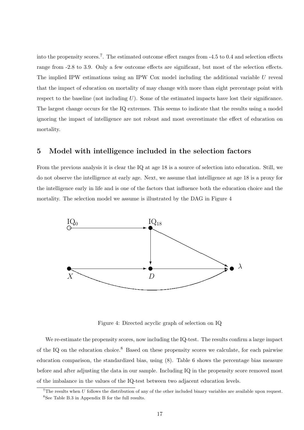into the propensity scores.<sup>7</sup>. The estimated outcome effect ranges from -4.5 to 0.4 and selection effects range from -2.8 to 3.9. Only a few outcome effects are significant, but most of the selection effects. The implied IPW estimations using an IPW Cox model including the additional variable *U* reveal that the impact of education on mortality of may change with more than eight percentage point with respect to the baseline (not including *U*). Some of the estimated impacts have lost their significance. The largest change occurs for the IQ extremes. This seems to indicate that the results using a model ignoring the impact of intelligence are not robust and most overestimate the effect of education on mortality.

## **5 Model with intelligence included in the selection factors**

From the previous analysis it is clear the IQ at age 18 is a source of selection into education. Still, we do not observe the intelligence at early age. Next, we assume that intelligence at age 18 is a proxy for the intelligence early in life and is one of the factors that influence both the education choice and the mortality. The selection model we assume is illustrated by the DAG in Figure 4



Figure 4: Directed acyclic graph of selection on IQ

We re-estimate the propensity scores, now including the IQ-test. The results confirm a large impact of the IQ on the education choice.<sup>8</sup> Based on these propensity scores we calculate, for each pairwise education comparison, the standardized bias, using (8). Table 6 shows the percentage bias measure before and after adjusting the data in our sample. Including IQ in the propensity score removed most of the imbalance in the values of the IQ-test between two adjacent education levels.

 $7$ The results when *U* follows the distribution of any of the other included binary variables are available upon request. <sup>8</sup>See Table B.3 in Appendix B for the full results.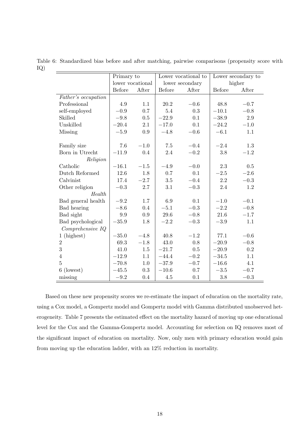Table 6: Standardized bias before and after matching, pairwise comparisons (propensity score with IQ)  $\equiv$ 

|                     | Primary to       |        | Lower vocational to |                 |         | Lower secondary to |
|---------------------|------------------|--------|---------------------|-----------------|---------|--------------------|
|                     | lower vocational |        |                     | lower secondary |         | higher             |
|                     | Before           | After  | Before              | After           | Before  | After              |
| Father's occupation |                  |        |                     |                 |         |                    |
| Professional        | 4.9              | 1.1    | 20.2                | $-0.6$          | 48.8    | $-0.7$             |
| self-employed       | $-0.9$           | 0.7    | 5.4                 | 0.3             | $-10.1$ | $-0.8$             |
| Skilled             | $-9.8$           | 0.5    | $-22.9$             | 0.1             | $-38.9$ | 2.9                |
| Unskilled           | $-20.4$          | 2.1    | $-17.0$             | 0.1             | $-24.2$ | $-1.0$             |
| Missing             | $-5.9$           | 0.9    | $-4.8$              | $\!-0.6$        | $-6.1$  | 1.1                |
|                     |                  |        |                     |                 |         |                    |
| Family size         | 7.6              | $-1.0$ | 7.5                 | $-0.4$          | $-2.4$  | 1.3                |
| Born in Utrecht     | $-11.9$          | 0.4    | 2.4                 | $-0.2$          | 3.8     | $-1.2$             |
| Religion            |                  |        |                     |                 |         |                    |
| Catholic            | $-16.1$          | $-1.5$ | $-4.9$              | $-0.0$          | 2.3     | 0.5                |
| Dutch Reformed      | 12.6             | 1.8    | 0.7                 | 0.1             | $-2.5$  | $-2.6$             |
| Calvinist           | 17.4             | $-2.7$ | 3.5                 | $-0.4$          | 2.2     | $-0.3$             |
| Other religion      | $-0.3$           | 2.7    | 3.1                 | $-0.3$          | 2.4     | 1.2                |
| Health              |                  |        |                     |                 |         |                    |
| Bad general health  | $-9.2$           | 1.7    | 6.9                 | 0.1             | $-1.0$  | $-0.1$             |
| Bad hearing         | $-8.6$           | 0.4    | $-5.1$              | $-0.3$          | $-2.2$  | $-0.8$             |
| Bad sight           | 9.9              | 0.9    | 29.6                | $-0.8$          | 21.6    | $-1.7$             |
| Bad psychological   | $-35.9$          | 1.8    | $-2.2$              | $-0.3$          | $-3.9$  | 1.1                |
| Comprehensive IQ    |                  |        |                     |                 |         |                    |
| $1$ (highest)       | $-35.0$          | $-4.8$ | 40.8                | $-1.2$          | 77.1    | $-0.6$             |
| $\overline{2}$      | 69.3             | $-1.8$ | 43.0                | 0.8             | $-20.9$ | $-0.8$             |
| 3                   | 41.0             | 1.5    | $-21.7$             | 0.5             | $-20.9$ | 0.2                |
| $\overline{4}$      | $-12.9$          | 1.1    | $-44.4$             | $-0.2$          | $-34.5$ | 1.1                |
| $\overline{5}$      | $-70.8$          | 1.0    | $-37.9$             | $-0.7$          | $-16.6$ | 4.1                |
| 6<br>(lowest)       | $-45.5$          | 0.3    | $-10.6$             | 0.7             | $-3.5$  | $-0.7$             |
| missing             | $-9.2$           | 0.4    | 4.5                 | 0.1             | 3.8     | $-0.3$             |

Based on these new propensity scores we re-estimate the impact of education on the mortality rate, using a Cox model, a Gompertz model and Gompertz model with Gamma distributed unobserved heterogeneity. Table 7 presents the estimated effect on the mortality hazard of moving up one educational level for the Cox and the Gamma-Gompertz model. Accounting for selection on IQ removes most of the significant impact of education on mortality. Now, only men with primary education would gain from moving up the education ladder, with an 12% reduction in mortality.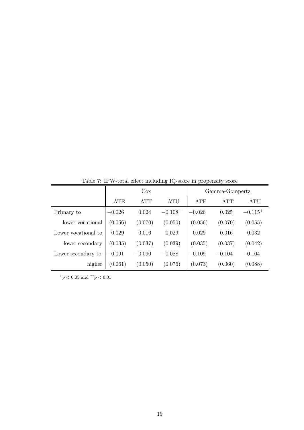| rable to it would effect including rescore in propensity score |            |            |              |          |                |              |  |  |
|----------------------------------------------------------------|------------|------------|--------------|----------|----------------|--------------|--|--|
|                                                                |            | Cox        |              |          | Gamma-Gompertz |              |  |  |
|                                                                | <b>ATE</b> | <b>ATT</b> | <b>ATU</b>   | ATE      | <b>ATT</b>     | ATU          |  |  |
| Primary to                                                     | $-0.026$   | 0.024      | $-0.108^{+}$ | $-0.026$ | 0.025          | $-0.115^{+}$ |  |  |
| lower vocational                                               | (0.056)    | (0.070)    | (0.050)      | (0.056)  | (0.070)        | (0.055)      |  |  |
| Lower vocational to                                            | 0.029      | 0.016      | 0.029        | 0.029    | 0.016          | 0.032        |  |  |
| lower secondary                                                | (0.035)    | (0.037)    | (0.039)      | (0.035)  | (0.037)        | (0.042)      |  |  |
| Lower secondary to                                             | $-0.091$   | $-0.090$   | $-0.088$     | $-0.109$ | $-0.104$       | $-0.104$     |  |  |
| higher                                                         | (0.061)    | (0.050)    | (0.076)      | (0.073)  | (0.060)        | (0.088)      |  |  |

Table 7: IPW-total effect including IQ-score in propensity score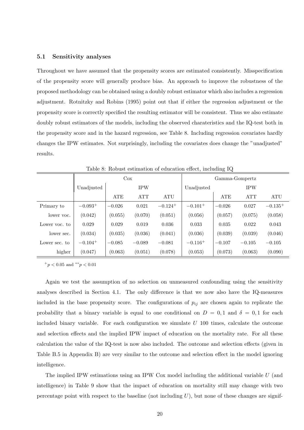#### **5.1 Sensitivity analyses**

Throughout we have assumed that the propensity scores are estimated consistently. Misspecification of the propensity score will generally produce bias. An approach to improve the robustness of the proposed methodology can be obtained using a doubly robust estimator which also includes a regression adjustment. Rotnitzky and Robins (1995) point out that if either the regression adjustment or the propensity score is correctly specified the resulting estimator will be consistent. Thus we also estimate doubly robust estimators of the models, including the observed charateristics and the IQ-test both in the propensity score and in the hazard regression, see Table 8. Including regression covariates hardly changes the IPW estimates. Not surprisingly, including the covariates does change the "unadjusted" results.

| -റ            |                       |            |            |                       |                |          |            |           |
|---------------|-----------------------|------------|------------|-----------------------|----------------|----------|------------|-----------|
|               | $\cos$                |            |            |                       | Gamma-Gompertz |          |            |           |
|               | Unadjusted            |            | <b>IPW</b> |                       | Unadjusted     |          | <b>IPW</b> |           |
|               |                       | <b>ATE</b> | <b>ATT</b> | ATU                   |                | ATE      | <b>ATT</b> | ATU       |
| Primary to    | $-0.093^{+}$          | $-0.026$   | 0.021      | $-0.124$ <sup>+</sup> | $-0.101^{+}$   | $-0.026$ | 0.027      | $-0.135+$ |
| lower voc.    | (0.042)               | (0.055)    | (0.070)    | (0.051)               | (0.056)        | (0.057)  | (0.075)    | (0.058)   |
| Lower voc. to | 0.029                 | 0.029      | 0.019      | 0.036                 | 0.033          | 0.035    | 0.022      | 0.043     |
| lower sec.    | (0.034)               | (0.035)    | (0.036)    | (0.041)               | (0.036)        | (0.039)  | (0.039)    | (0.046)   |
| Lower sec. to | $-0.104$ <sup>+</sup> | $-0.085$   | $-0.089$   | $-0.081$              | $-0.116^{+}$   | $-0.107$ | $-0.105$   | $-0.105$  |
| higher        | (0.047)               | (0.063)    | (0.051)    | (0.078)               | (0.053)        | (0.073)  | (0.063)    | (0.090)   |

Table 8: Robust estimation of education effect, including IQ

<sup>+</sup>*p <* 0*.*05 and *∗∗p <* 0*.*01

Again we test the assumption of no selection on unmeasured confounding using the sensitivity analyses described in Section 4.1. The only difference is that we now also have the IQ-measures included in the base propensity score. The configurations of *pij* are chosen again to replicate the probability that a binary variable is equal to one conditional on  $D = 0, 1$  and  $\delta = 0, 1$  for each included binary variable. For each configuration we simulate *U* 100 times, calculate the outcome and selection effects and the implied IPW impact of education on the mortality rate. For all these calculation the value of the IQ-test is now also included. The outcome and selection effects (given in Table B.5 in Appendix B) are very similar to the outcome and selection effect in the model ignoring intelligence.

The implied IPW estimations using an IPW Cox model including the additional variable *U* (and intelligence) in Table 9 show that the impact of education on mortality still may change with two percentage point with respect to the baseline (not including *U*), but none of these changes are signif-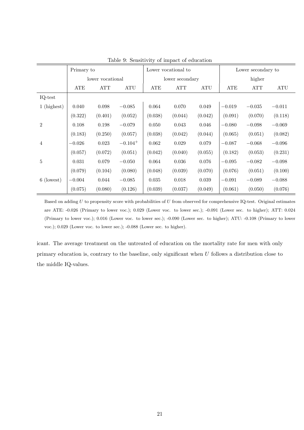|                |            | Primary to           |                             |            | Lower vocational to |            |            | Lower secondary to |            |  |
|----------------|------------|----------------------|-----------------------------|------------|---------------------|------------|------------|--------------------|------------|--|
|                |            | lower vocational     |                             |            | lower secondary     |            |            | higher             |            |  |
|                | <b>ATE</b> | $\operatorname{ATT}$ | $\mathop{\rm ATU}\nolimits$ | <b>ATE</b> | <b>ATT</b>          | <b>ATU</b> | <b>ATE</b> | <b>ATT</b>         | <b>ATU</b> |  |
| $IQ-test$      |            |                      |                             |            |                     |            |            |                    |            |  |
| 1 (highest)    | 0.040      | 0.098                | $-0.085$                    | 0.064      | 0.070               | 0.049      | $-0.019$   | $-0.035$           | $-0.011$   |  |
|                | (0.322)    | (0.401)              | (0.052)                     | (0.038)    | (0.044)             | (0.042)    | (0.091)    | (0.070)            | (0.118)    |  |
| $\overline{2}$ | 0.108      | 0.198                | $-0.079$                    | 0.050      | 0.043               | 0.046      | $-0.080$   | $-0.098$           | $-0.069$   |  |
|                | (0.183)    | (0.250)              | (0.057)                     | (0.038)    | (0.042)             | (0.044)    | (0.065)    | (0.051)            | (0.082)    |  |
| $\overline{4}$ | $-0.026$   | 0.023                | $-0.104$ <sup>+</sup>       | 0.062      | 0.029               | 0.079      | $-0.087$   | $-0.068$           | $-0.096$   |  |
|                | (0.057)    | (0.072)              | (0.051)                     | (0.042)    | (0.040)             | (0.055)    | (0.182)    | (0.053)            | (0.231)    |  |
| $\overline{5}$ | 0.031      | 0.079                | $-0.050$                    | 0.064      | 0.036               | 0.076      | $-0.095$   | $-0.082$           | $-0.098$   |  |
|                | (0.079)    | (0.104)              | (0.080)                     | (0.048)    | (0.039)             | (0.070)    | (0.076)    | (0.051)            | (0.100)    |  |
| 6 (lowest)     | $-0.004$   | 0.044                | $-0.085$                    | 0.035      | 0.018               | 0.039      | $-0.091$   | $-0.089$           | $-0.088$   |  |
|                | (0.075)    | (0.080)              | (0.126)                     | (0.039)    | (0.037)             | (0.049)    | (0.061)    | (0.050)            | (0.076)    |  |

Table 9: Sensitivity of impact of education

Based on adding *U* to propensity score with probabilities of *U* from observed for comprehensive IQ-test. Original estimates are ATE: -0.026 (Primary to lower voc.); 0.029 (Lower voc. to lower sec.); -0.091 (Lower sec. to higher); ATT: 0.024 (Primary to lower voc.); 0.016 (Lower voc. to lower sec.); -0.090 (Lower sec. to higher); ATU: -0.108 (Primary to lower voc.); 0.029 (Lower voc. to lower sec.); -0.088 (Lower sec. to higher).

icant. The average treatment on the untreated of education on the mortality rate for men with only primary education is, contrary to the baseline, only significant when *U* follows a distribution close to the middle IQ-values.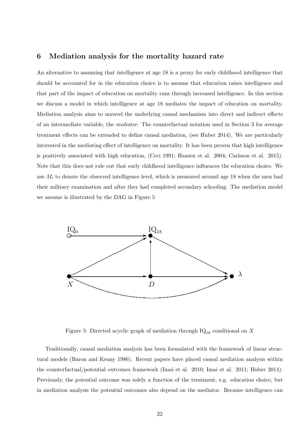## **6 Mediation analysis for the mortality hazard rate**

An alternative to assuming that intelligence at age 18 is a proxy for early childhood intelligence that should be accounted for in the education choice is to assume that education raises intelligence and that part of the impact of education on mortality runs through increased intelligence. In this section we discuss a model in which intelligence at age 18 mediates the impact of education on mortality. Mediation analysis aims to unravel the underlying causal mechanism into direct and indirect effects of an intermediate variable, the *mediator*. The counterfactual notation used in Section 3 for average treatment effects can be extended to define causal mediation, (see Huber 2014). We are particularly interested in the mediating effect of intelligence on mortality. It has been proven that high intelligence is positively associated with high education, (Ceci 1991; Hansen et al. 2004; Carlsson et al. 2015). Note that this does not rule out that early childhood intelligence influences the education choice. We use  $M_i$  to denote the observed intelligence level, which is measured around age 18 when the men had their military examination and after they had completed secondary schooling. The mediation model we assume is illustrated by the DAG in Figure 5



Figure 5: Directed acyclic graph of mediation through IQ<sup>18</sup> conditional on *X*

Traditionally, causal mediation analysis has been formulated with the framework of linear structural models (Baron and Kenny 1986). Recent papers have placed causal mediation analysis within the counterfactual/potential outcomes framework (Imai et al. 2010; Imai et al. 2011; Huber 2014). Previously, the potential outcome was solely a function of the treatment, e.g. education choice, but in mediation analysis the potential outcomes also depend on the mediator. Because intelligence can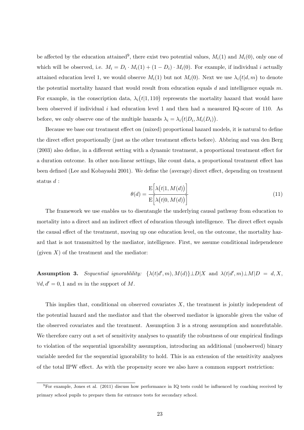be affected by the education attained<sup>9</sup>, there exist two potential values,  $M_i(1)$  and  $M_i(0)$ , only one of which will be observed, i.e.  $M_i = D_i \cdot M_i(1) + (1 - D_i) \cdot M_i(0)$ . For example, if individual *i* actually attained education level 1, we would observe  $M_i(1)$  but not  $M_i(0)$ . Next we use  $\lambda_i(t|d, m)$  to denote the potential mortality hazard that would result from education equals *d* and intelligence equals *m*. For example, in the conscription data,  $\lambda_i(t|1,110)$  represents the mortality hazard that would have been observed if individual *i* had education level 1 and then had a measured IQ-score of 110. As before, we only observe one of the multiple hazards  $\lambda_i = \lambda_i (t | D_i, M_i(D_i))$ .

Because we base our treatment effect on (mixed) proportional hazard models, it is natural to define the direct effect proportionally (just as the other treatment effects before). Abbring and van den Berg (2003) also define, in a different setting with a dynamic treatment, a proportional treatment effect for a duration outcome. In other non-linear settings, like count data, a proportional treatment effect has been defined (Lee and Kobayashi 2001). We define the (average) direct effect, depending on treatment status *d* :

$$
\theta(d) = \frac{\mathcal{E}\left[\lambda(t|1, M(d))\right]}{\mathcal{E}\left[\lambda(t|0, M(d))\right]}
$$
\n(11)

The framework we use enables us to disentangle the underlying causal pathway from education to mortality into a direct and an indirect effect of education through intelligence. The direct effect equals the causal effect of the treatment, moving up one education level, on the outcome, the mortality hazard that is not transmitted by the mediator, intelligence. First, we assume conditional independence (given  $X$ ) of the treatment and the mediator:

**Assumption 3.** Sequential ignorability:  $\{\lambda(t|d',m), M(d)\} \perp D|X$  and  $\lambda(t|d',m) \perp M|D = d, X$ , *∀d, d′* = 0*,* 1 and *m* in the support of *M*.

This implies that, conditional on observed covariates *X*, the treatment is jointly independent of the potential hazard and the mediator and that the observed mediator is ignorable given the value of the observed covariates and the treatment. Assumption 3 is a strong assumption and nonrefutable. We therefore carry out a set of sensitivity analyses to quantify the robustness of our empirical findings to violation of the sequential ignorability assumption, introducing an additional (unobserved) binary variable needed for the sequential ignorability to hold. This is an extension of the sensitivity analyses of the total IPW effect. As with the propensity score we also have a common support restriction:

 $^{9}$ For example, Jones et al. (2011) discuss how performance in IQ tests could be influenced by coaching received by primary school pupils to prepare them for entrance tests for secondary school.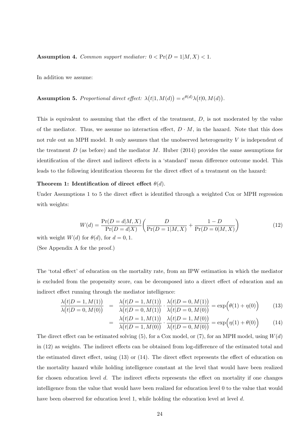**Assumption 4.** *Common support mediator:*  $0 < \Pr(D = 1 | M, X) < 1$ .

In addition we assume:

**Assumption 5.** Proportional direct effect:  $\lambda(t|1, M(d)) = e^{\theta(d)}\lambda(t|0, M(d)).$ 

This is equivalent to assuming that the effect of the treatment, *D*, is not moderated by the value of the mediator. Thus, we assume no interaction effect,  $D \cdot M$ , in the hazard. Note that this does not rule out an MPH model. It only assumes that the unobserved heterogeneity *V* is independent of the treatment *D* (as before) and the mediator *M*. Huber (2014) provides the same assumptions for identification of the direct and indirect effects in a 'standard' mean difference outcome model. This leads to the following identification theorem for the direct effect of a treatment on the hazard:

#### **Theorem 1: Identification of direct effect**  $\theta(d)$ .

Under Assumptions 1 to 5 the direct effect is identified through a weighted Cox or MPH regression with weights:

$$
W(d) = \frac{\Pr(D = d | M, X)}{\Pr(D = d | X)} \left( \frac{D}{\Pr(D = 1 | M, X)} + \frac{1 - D}{\Pr(D = 0 | M, X)} \right)
$$
(12)

with weight  $W(d)$  for  $\theta(d)$ , for  $d = 0, 1$ .

(See Appendix A for the proof.)

The 'total effect' of education on the mortality rate, from an IPW estimation in which the mediator is excluded from the propensity score, can be decomposed into a direct effect of education and an indirect effect running through the mediator intelligence:

$$
\frac{\lambda(t|D=1, M(1))}{\lambda(t|D=0, M(0))} = \frac{\lambda(t|D=1, M(1))}{\lambda(t|D=0, M(1))} \cdot \frac{\lambda(t|D=0, M(1))}{\lambda(t|D=0, M(0))} = \exp(\theta(1) + \eta(0))
$$
\n(13)

$$
= \frac{\lambda(t|D=1, M(1))}{\lambda(t|D=1, M(0))} \cdot \frac{\lambda(t|D=1, M(0))}{\lambda(t|D=0, M(0))} = \exp(\eta(1) + \theta(0))
$$
(14)

The direct effect can be estimated solving  $(5)$ , for a Cox model, or  $(7)$ , for an MPH model, using  $W(d)$ in (12) as weights. The indirect effects can be obtained from log-difference of the estimated total and the estimated direct effect, using (13) or (14). The direct effect represents the effect of education on the mortality hazard while holding intelligence constant at the level that would have been realized for chosen education level *d*. The indirect effects represents the effect on mortality if one changes intelligence from the value that would have been realized for education level 0 to the value that would have been observed for education level 1, while holding the education level at level *d*.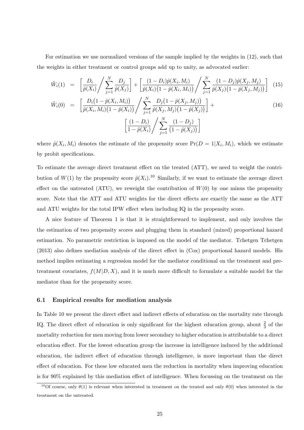For estimation we use normalized versions of the sample implied by the weights in (12), such that the weights in either treatment or control groups add up to unity, as advocated earlier:

$$
\tilde{W}_i(1) = \left[ \frac{D_i}{\hat{p}(X_i)} / \sum_{j=1}^N \frac{D_j}{\hat{p}(X_j)} \right] + \left[ \frac{(1 - D_i)\hat{p}(X_i, M_i)}{\hat{p}(X_i)(1 - \hat{p}(X_i, M_i))} / \sum_{j=1}^N \frac{(1 - D_j)\hat{p}(X_j, M_j)}{\hat{p}(X_j)(1 - \hat{p}(X_j, M_j))} \right] (15)
$$

$$
\tilde{W}_i(0) = \left[ \frac{D_i \left(1 - \hat{p}(X_i, M_i)\right)}{\hat{p}(X_i, M_i) \left(1 - \hat{p}(X_i)\right)} \middle/ \sum_{j=1}^N \frac{D_j \left(1 - \hat{p}(X_j, M_j)\right)}{\hat{p}(X_j, M_j) \left(1 - \hat{p}(X_j)\right)} \right] + \left[ \frac{\left(1 - D_i\right)}{1 - \hat{p}(X_i)} \middle/ \sum_{j=1}^N \frac{\left(1 - D_j\right)}{\left(1 - \hat{p}(X_j)\right)} \right]
$$
\n(16)

where  $\hat{p}(X_i, M_i)$  denotes the estimate of the propensity score  $Pr(D = 1 | X_i, M_i)$ , which we estimate by probit specifications.

To estimate the average direct treatment effect on the treated (ATT), we need to weight the contribution of  $W(1)$  by the propensity score  $\hat{p}(X_i)$ .<sup>10</sup> Similarly, if we want to estimate the average direct effect on the untreated  $(ATU)$ , we reweight the contribution of  $W(0)$  by one minus the propensity score. Note that the ATT and ATU weights for the direct effects are exactly the same as the ATT and ATU weights for the total IPW effect when including IQ in the propensity score.

A nice feature of Theorem 1 is that it is straightforward to implement, and only involves the the estimation of two propensity scores and plugging them in standard (mixed) proportional hazard estimation. No parametric restriction is imposed on the model of the mediator. Tchetgen Tchetgen (2013) also defines mediation analysis of the direct effect in (Cox) proportional hazard models. His method implies estimating a regression model for the mediator conditional on the treatment and pretreatment covariates,  $f(M|D, X)$ , and it is much more difficult to formulate a suitable model for the mediator than for the propensity score.

#### **6.1 Empirical results for mediation analysis**

In Table 10 we present the direct effect and indirect effects of education on the mortality rate through IQ. The direct effect of education is only significant for the highest education group, about  $\frac{2}{3}$  of the mortality reduction for men moving from lower secondary to higher education is attributable to a direct education effect. For the lowest education group the increase in intelligence induced by the additional education, the indirect effect of education through intelligence, is more important than the direct effect of education. For these low educated men the reduction in mortality when improving education is for 90% explained by this mediation effect of intelligence. When focussing on the treatment on the

<sup>&</sup>lt;sup>10</sup>Of course, only  $\theta(1)$  is relevant when interested in treatment on the treated and only  $\theta(0)$  when interested in the treatment on the untreated.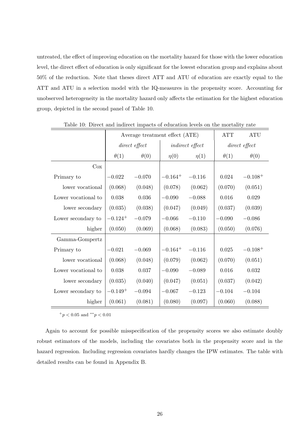untreated, the effect of improving education on the mortality hazard for those with the lower education level, the direct effect of education is only significant for the lowest education group and explains about 50% of the reduction. Note that theses direct ATT and ATU of education are exactly equal to the ATT and ATU in a selection model with the IQ-measures in the propensity score. Accounting for unobserved heterogeneity in the mortality hazard only affects the estimation for the highest education group, depicted in the second panel of Table 10.

|                     |                       | Average treatment effect (ATE) |              |                        | <b>ATT</b>  | <b>ATU</b>    |
|---------------------|-----------------------|--------------------------------|--------------|------------------------|-------------|---------------|
|                     |                       | $direct \ effect$              |              | <i>indirect effect</i> |             | direct effect |
|                     | $\theta(1)$           | $\theta(0)$                    | $\eta(0)$    | $\eta(1)$              | $\theta(1)$ | $\theta(0)$   |
| Cox                 |                       |                                |              |                        |             |               |
| Primary to          | $-0.022$              | $-0.070$                       | $-0.164^{+}$ | $-0.116$               | 0.024       | $-0.108 +$    |
| lower vocational    | (0.068)               | (0.048)                        | (0.078)      | (0.062)                | (0.070)     | (0.051)       |
| Lower vocational to | 0.038                 | 0.036                          | $-0.090$     | $-0.088$               | 0.016       | 0.029         |
| lower secondary     | (0.035)               | (0.038)                        | (0.047)      | (0.049)                | (0.037)     | (0.039)       |
| Lower secondary to  | $-0.124$ <sup>+</sup> | $-0.079$                       | $-0.066$     | $-0.110$               | $-0.090$    | $-0.086$      |
| higher              | (0.050)               | (0.069)                        | (0.068)      | (0.083)                | (0.050)     | (0.076)       |
| Gamma-Gompertz      |                       |                                |              |                        |             |               |
| Primary to          | $-0.021$              | $-0.069$                       | $-0.164^{+}$ | $-0.116$               | 0.025       | $-0.108^{+}$  |
| lower vocational    | (0.068)               | (0.048)                        | (0.079)      | (0.062)                | (0.070)     | (0.051)       |
| Lower vocational to | 0.038                 | 0.037                          | $-0.090$     | $-0.089$               | 0.016       | 0.032         |
| lower secondary     | (0.035)               | (0.040)                        | (0.047)      | (0.051)                | (0.037)     | (0.042)       |
| Lower secondary to  | $-0.149^{+}$          | $-0.094$                       | $-0.067$     | $-0.123$               | $-0.104$    | $-0.104$      |
| higher              | (0.061)               | (0.081)                        | (0.080)      | (0.097)                | (0.060)     | (0.088)       |

Table 10: Direct and indirect impacts of education levels on the mortality rate

<sup>+</sup>*p <* 0*.*05 and *∗∗p <* 0*.*01

Again to account for possible misspecification of the propensity scores we also estimate doubly robust estimators of the models, including the covariates both in the propensity score and in the hazard regression. Including regression covariates hardly changes the IPW estimates. The table with detailed results can be found in Appendix B.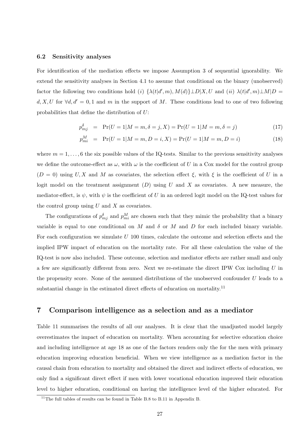#### **6.2 Sensitivity analyses**

For identification of the mediation effects we impose Assumption 3 of sequential ignorability. We extend the sensitivity analyses in Section 4.1 to assume that conditional on the binary (unobserved) factor the following two conditions hold (i)  $\{\lambda(t|d',m), M(d)\}\perp D|X, U$  and (ii)  $\lambda(t|d',m)\perp M|D =$ *d, X, U* for  $\forall d, d' = 0, 1$  and *m* in the support of *M*. These conditions lead to one of two following probabilities that define the distribution of *U*:

$$
p_{mj}^{\delta} = \Pr(U = 1 | M = m, \delta = j, X) = \Pr(U = 1 | M = m, \delta = j)
$$
\n(17)

$$
p_{mi}^M = \Pr(U = 1 | M = m, D = i, X) = \Pr(U = 1 | M = m, D = i)
$$
\n(18)

where  $m = 1, \ldots, 6$  the six possible values of the IQ-tests. Similar to the previous sensitivity analyses we define the outcome-effect as  $\omega$ , with  $\omega$  is the coefficient of *U* in a Cox model for the control group  $(D = 0)$  using *U, X* and *M* as covariates, the selection effect  $\xi$ , with  $\xi$  is the coefficient of *U* in a logit model on the treatment assignment (*D*) using *U* and *X* as covariates. A new measure, the mediator-effect, is  $\psi$ , with  $\psi$  is the coefficient of *U* in an ordered logit model on the IQ-test values for the control group using *U* and *X* as covariates.

The configurations of  $p_{mj}^{\delta}$  and  $p_{mi}^M$  are chosen such that they mimic the probability that a binary variable is equal to one conditional on *M* and  $\delta$  or *M* and *D* for each included binary variable. For each configuration we simulate *U* 100 times, calculate the outcome and selection effects and the implied IPW impact of education on the mortality rate. For all these calculation the value of the IQ-test is now also included. These outcome, selection and mediator effects are rather small and only a few are significantly different from zero. Next we re-estimate the direct IPW Cox including *U* in the propensity score. None of the assumed distributions of the unobserved confounder *U* leads to a substantial change in the estimated direct effects of education on mortality.<sup>11</sup>

## **7 Comparison intelligence as a selection and as a mediator**

Table 11 summarises the results of all our analyses. It is clear that the unadjusted model largely overestimates the impact of education on mortality. When accounting for selective education choice and including intelligence at age 18 as one of the factors renders only the for the men with primary education improving education beneficial. When we view intelligence as a mediation factor in the causal chain from education to mortality and obtained the direct and indirect effects of education, we only find a significant direct effect if men with lower vocational education improved their education level to higher education, conditional on having the intelligence level of the higher educated. For

 $11$ <sup>The full tables of results can be found in Table B.8 to B.11 in Appendix B.</sup>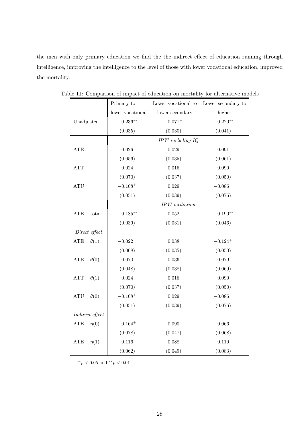the men with only primary education we find the the indirect effect of education running through intelligence, improving the intelligence to the level of those with lower vocational education, improved the mortality.

|                                       | Primary to       | Lower vocational to | Lower secondary to |
|---------------------------------------|------------------|---------------------|--------------------|
|                                       | lower vocational | lower secondary     | higher             |
| Unadjusted                            | $-0.236**$       | $-0.071^{+}$        | $-0.220**$         |
|                                       | (0.035)          | (0.030)             | (0.041)            |
|                                       |                  | IPW including IQ    |                    |
| ATE                                   | $-0.026$         | 0.029               | $-0.091$           |
|                                       | (0.056)          | (0.035)             | (0.061)            |
| <b>ATT</b>                            | 0.024            | 0.016               | $-0.090$           |
|                                       | (0.070)          | (0.037)             | (0.050)            |
| $\rm ATU$                             | $-0.108+$        | 0.029               | $-0.086$           |
|                                       | (0.051)          | (0.039)             | (0.076)            |
|                                       |                  | $IPW\; median$      |                    |
| ATE<br>total                          | $-0.185**$       | $-0.052$            | $-0.190**$         |
|                                       | (0.039)          | (0.031)             | (0.046)            |
| Direct effect                         |                  |                     |                    |
| <b>ATE</b><br>$\theta(1)$             | $-0.022$         | 0.038               | $-0.124 +$         |
|                                       | (0.068)          | (0.035)             | (0.050)            |
| $\theta(0)$<br>ATE                    | $-0.070$         | 0.036               | $-0.079$           |
|                                       | (0.048)          | (0.038)             | (0.069)            |
| $\theta(1)$<br>ATT                    | $\,0.024\,$      | $0.016\,$           | $-0.090$           |
|                                       | (0.070)          | (0.037)             | (0.050)            |
| $\theta(0)$<br><b>ATU</b>             | $-0.108 +$       | 0.029               | $-0.086$           |
|                                       | (0.051)          | (0.039)             | (0.076)            |
| $\label{eq:indirect} Indirect~effect$ |                  |                     |                    |
| ${\rm ATE}$<br>$\eta(0)$              | $-0.164+$        | $-0.090$            | $-0.066$           |
|                                       | (0.078)          | (0.047)             | (0.068)            |
| ${\rm ATE}$<br>$\eta(1)$              | $-0.116$         | $-0.088$            | $-0.110$           |
|                                       | (0.062)          | (0.049)             | (0.083)            |

Table 11: Comparison of impact of education on mortality for alternative models

<sup>+</sup>*p <* 0*.*05 and *∗∗p <* 0*.*01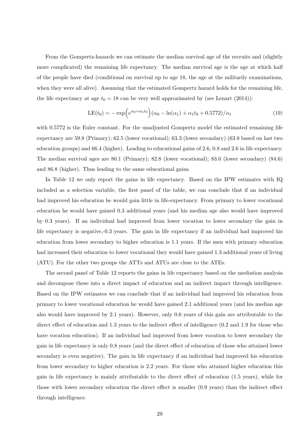From the Gompertz-hazards we can estimate the median survival age of the recruits and (slightly more complicated) the remaining life expectancy. The median survival age is the age at which half of the people have died (conditional on survival up to age 18, the age at the militarily examinations, when they were all alive). Assuming that the estimated Gompertz hazard holds for the remaining life, the life expectancy at age  $t_0 = 18$  can be very well approximated by (see Lenart (2014)):

$$
LE(t_0) = -\exp\left(e^{\alpha_0 + \alpha_1 t_0}\right)(\alpha_0 - \ln(\alpha_1) + \alpha_1 t_0 + 0.5772)/\alpha_1\tag{19}
$$

with 0.5772 is the Euler constant. For the unadjusted Gompertz model the estimated remaining life expectancy are 59.8 (Primary); 62.5 (lower vocational); 63.3 (lower secondary) (63.8 based on last two education groups) and 66.4 (higher). Leading to educational gains of 2.6, 0.8 and 2.6 in life expectancy. The median survival ages are 80.1 (Primary); 82.8 (lower vocational); 83.6 (lower secondary) (84.6) and 86.8 (higher). Thus leading to the same educational gains.

In Table 12 we only report the gains in life expectancy. Based on the IPW estimates with IQ included as a selection variable, the first panel of the table, we can conclude that if an individual had improved his education he would gain little in life-expectancy. From primary to lower vocational education he would have gained 0.3 additional years (and his median age also would have improved by 0.3 years). If an individual had improved from lower vocation to lower secondary the gain in life expectancy is negative,-0.3 years. The gain in life expectancy if an individual had improved his education from lower secondary to higher education is 1.1 years. If the men with primary education had increased their education to lower vocational they would have gained 1.3 additional years of living (ATU). For the other two groups the ATTs and ATUs are close to the ATEs.

The second panel of Table 12 reports the gains in life expectancy based on the mediation analysis and decompose these into a direct impact of education and an indirect impact through intelligence. Based on the IPW estimates we can conclude that if an individual had improved his education from primary to lower vocational education he would have gained 2.1 additional years (and his median age also would have improved by 2.1 years). However, only 0.6 years of this gain are attributable to the direct effect of education and 1.3 years to the indirect effect of intelligence  $(0.2 \text{ and } 1.9 \text{ for those who})$ have vocation education). If an individual had improved from lower vocation to lower secondary the gain in life expectancy is only 0.8 years (and the direct effect of education of those who attained lower secondary is even negative). The gain in life expectancy if an individual had improved his education from lower secondary to higher education is 2.2 years. For those who attained higher education this gain in life expectancy is mainly attributable to the direct effect of education (1.5 years), while for those with lower secondary education the direct effect is smaller (0.9 years) than the indirect effect through intelligence.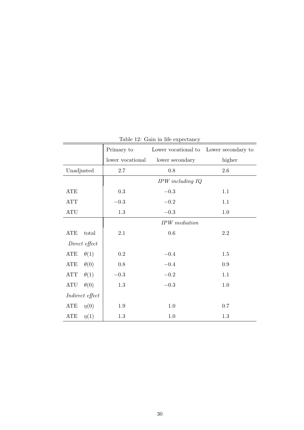|                                            | Primary to       | Lower vocational to  | Lower secondary to |
|--------------------------------------------|------------------|----------------------|--------------------|
|                                            | lower vocational | lower secondary      | higher             |
| Unadjusted                                 | $2.7\,$          | 0.8                  | $2.6\,$            |
|                                            |                  | $IPW$ including $IQ$ |                    |
| ATE                                        | $\rm 0.3$        | $\!-0.3$             | 1.1                |
| <b>ATT</b>                                 | $-0.3$           | $-0.2$               | 1.1                |
| $\mathop{\mathrm{ATU}}$                    | $1.3\,$          | $-0.3$               | 1.0                |
|                                            |                  | <b>IPW</b> mediation |                    |
| ATE<br>total                               | 2.1              | $0.6\,$              | $2.2\,$            |
| Direct effect                              |                  |                      |                    |
| ATE<br>$\theta(1)$                         | 0.2              | $-0.4$               | 1.5                |
| $\theta(0)$<br>ATE                         | 0.8              | $-0.4$               | 0.9                |
| $\theta(1)$<br>ATT                         | $-0.3$           | $\!-0.2$             | 1.1                |
| $\mathop{\rm ATU}\nolimits$<br>$\theta(0)$ | $1.3\,$          | $\!-0.3$             | $1.0\,$            |
| Indirect effect                            |                  |                      |                    |
| ATE<br>$\eta(0)$                           | 1.9              | 1.0                  | 0.7                |
| ATE<br>$\eta(1)$                           | 1.3              | 1.0                  | 1.3                |

Table 12: Gain in life expectancy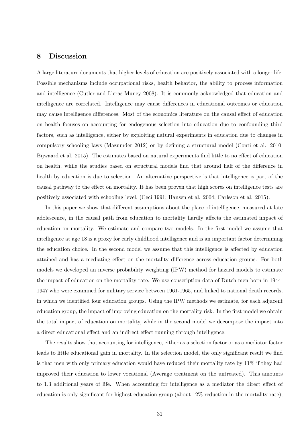## **8 Discussion**

A large literature documents that higher levels of education are positively associated with a longer life. Possible mechanisms include occupational risks, health behavior, the ability to process information and intelligence (Cutler and Lleras-Muney 2008). It is commonly acknowledged that education and intelligence are correlated. Intelligence may cause differences in educational outcomes or education may cause intelligence differences. Most of the economics literature on the causal effect of education on health focuses on accounting for endogenous selection into education due to confounding third factors, such as intelligence, either by exploiting natural experiments in education due to changes in compulsory schooling laws (Mazumder 2012) or by defining a structural model (Conti et al. 2010; Bijwaard et al. 2015). The estimates based on natural experiments find little to no effect of education on health, while the studies based on structural models find that around half of the difference in health by education is due to selection. An alternative perspective is that intelligence is part of the causal pathway to the effect on mortality. It has been proven that high scores on intelligence tests are positively associated with schooling level, (Ceci 1991; Hansen et al. 2004; Carlsson et al. 2015).

In this paper we show that different assumptions about the place of intelligence, measured at late adolescence, in the causal path from education to mortality hardly affects the estimated impact of education on mortality. We estimate and compare two models. In the first model we assume that intelligence at age 18 is a proxy for early childhood intelligence and is an important factor determining the education choice. In the second model we assume that this intelligence is affected by education attained and has a mediating effect on the mortality difference across education groups. For both models we developed an inverse probability weighting (IPW) method for hazard models to estimate the impact of education on the mortality rate. We use conscription data of Dutch men born in 1944- 1947 who were examined for military service between 1961-1965, and linked to national death records, in which we identified four education groups. Using the IPW methods we estimate, for each adjacent education group, the impact of improving education on the mortality risk. In the first model we obtain the total impact of education on mortality, while in the second model we decompose the impact into a direct educational effect and an indirect effect running through intelligence.

The results show that accounting for intelligence, either as a selection factor or as a mediator factor leads to little educational gain in mortality. In the selection model, the only significant result we find is that men with only primary education would have reduced their mortality rate by 11% if they had improved their education to lower vocational (Average treatment on the untreated). This amounts to 1.3 additional years of life. When accounting for intelligence as a mediator the direct effect of education is only significant for highest education group (about 12% reduction in the mortality rate),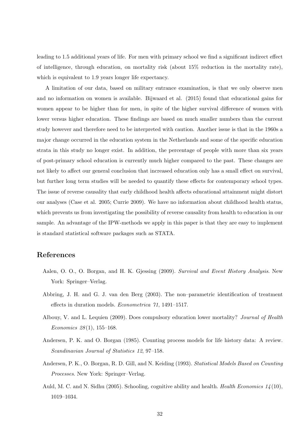leading to 1.5 additional years of life. For men with primary school we find a significant indirect effect of intelligence, through education, on mortality risk (about 15% reduction in the mortality rate), which is equivalent to 1.9 years longer life expectancy.

A limitation of our data, based on military entrance examination, is that we only observe men and no information on women is available. Bijwaard et al. (2015) found that educational gains for women appear to be higher than for men, in spite of the higher survival difference of women with lower versus higher education. These findings are based on much smaller numbers than the current study however and therefore need to be interpreted with caution. Another issue is that in the 1960s a major change occurred in the education system in the Netherlands and some of the specific education strata in this study no longer exist. In addition, the percentage of people with more than six years of post-primary school education is currently much higher compared to the past. These changes are not likely to affect our general conclusion that increased education only has a small effect on survival, but further long term studies will be needed to quantify these effects for contemporary school types. The issue of reverse causality that early childhood health affects educational attainment might distort our analyses (Case et al. 2005; Currie 2009). We have no information about childhood health status, which prevents us from investigating the possibility of reverse causality from health to education in our sample. An advantage of the IPW-methods we apply in this paper is that they are easy to implement is standard statistical software packages such as STATA.

## **References**

- Aalen, O. O., O. Borgan, and H. K. Gjessing (2009). *Survival and Event History Analysis*. New York: Springer–Verlag.
- Abbring, J. H. and G. J. van den Berg (2003). The non–parametric identification of treatment effects in duration models. *Econometrica 71*, 1491–1517.
- Albouy, V. and L. Lequien (2009). Does compulsory education lower mortality? *Journal of Health Economics 28* (1), 155–168.
- Andersen, P. K. and O. Borgan (1985). Counting process models for life history data: A review. *Scandinavian Journal of Statistics 12*, 97–158.
- Andersen, P. K., O. Borgan, R. D. Gill, and N. Keiding (1993). *Statistical Models Based on Counting Processes*. New York: Springer–Verlag.
- Auld, M. C. and N. Sidhu (2005). Schooling, cognitive ability and health. *Health Economics 14* (10), 1019–1034.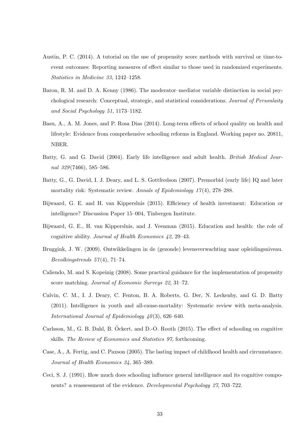- Austin, P. C. (2014). A tutorial on the use of propensity score methods with survival or time-toevent outcomes: Reporting measures of effect similar to those used in randomized experiments. *Statistics in Medicine 33*, 1242–1258.
- Baron, R. M. and D. A. Kenny (1986). The moderator–mediator variable distinction in social psychological research: Conceptual, strategic, and statistical considerations. *Journal of Personlaity and Social Psychology 51*, 1173–1182.
- Basu, A., A. M. Jones, and P. Rosa Dias (2014). Long-term effects of school quality on health and lifestyle: Evidence from comprehensive schooling reforms in England. Working paper no. 20811, NBER.
- Batty, G. and G. David (2004). Early life intelligence and adult health. *British Medical Journal 329* (7466), 585–586.
- Batty, G., G. David, I. J. Deary, and L. S. Gottfredson (2007). Premorbid (early life) IQ and later mortality risk: Systematic review. *Annals of Epidemiology 17* (4), 278–288.
- Bijwaard, G. E. and H. van Kippersluis (2015). Efficiency of health investment: Education or intelligence? Discussion Paper 15–004, Tinbergen Institute.
- Bijwaard, G. E., H. van Kippersluis, and J. Veenman (2015). Education and health: the role of cognitive ability. *Journal of Health Economics 42*, 29–43.
- Bruggink, J. W. (2009). Ontwikkelingen in de (gezonde) levensverwachting naar opleidingsniveau. *Bevolkingstrends 57* (4), 71–74.
- Caliendo, M. and S. Kopeinig (2008). Some practical guidance for the implementation of propensity score matching. *Journal of Economic Surveys 22*, 31–72.
- Calvin, C. M., I. J. Deary, C. Fenton, B. A. Roberts, G. Der, N. Leckenby, and G. D. Batty (2011). Intelligence in youth and all-cause-mortality: Systematic review with meta-analysis. *International Journal of Epidemiology 40* (3), 626–640.
- Carlsson, M., G. B. Dahl, B. Öckert, and D.-O. Rooth (2015). The effect of schooling on cognitive skills. *The Review of Economics and Statistics 97*, forthcoming.
- Case, A., A. Fertig, and C. Paxson (2005). The lasting impact of childhood health and circumstance. *Journal of Health Economics 24*, 365–389.
- Ceci, S. J. (1991). How much does schooling influence general intelligence and its cognitive components? a reassessment of the evidence. *Developmental Psychology 27*, 703–722.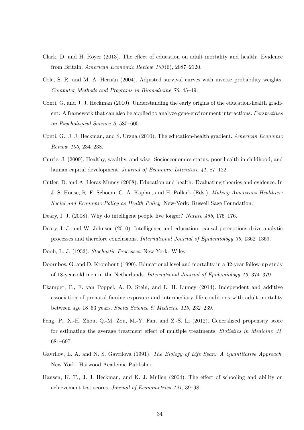- Clark, D. and H. Royer (2013). The effect of education on adult mortality and health: Evidence from Britain. *American Economic Review 103* (6), 2087–2120.
- Cole, S. R. and M. A. Hernán (2004). Adjusted survival curves with inverse probability weights. *Computer Methods and Programs in Biomedicine 75*, 45–49.
- Conti, G. and J. J. Heckman (2010). Understanding the early origins of the education-health gradient: A framework that can also be applied to analyze gene-environment interactions. *Perspectives on Psychological Science 5*, 585–605.
- Conti, G., J. J. Heckman, and S. Urzua (2010). The education-health gradient. *American Economic Review 100*, 234–238.
- Currie, J. (2009). Healthy, wealthy, and wise: Socioeconomics status, poor health in childhood, and human capital development. *Journal of Economic Literature 41*, 87–122.
- Cutler, D. and A. Lleras-Muney (2008). Education and health: Evaluating theories and evidence. In J. S. House, R. F. Schoeni, G. A. Kaplan, and H. Pollack (Eds.), *Making Americans Healthier: Social and Economic Policy as Health Policy*. New-York: Russell Sage Foundation.
- Deary, I. J. (2008). Why do intelligent people live longer? *Nature 456*, 175–176.
- Deary, I. J. and W. Johnson (2010). Intelligence and education: causal perceptions drive analytic processes and therefore conclusions. *International Journal of Epidemiology 39*, 1362–1369.
- Doob, L. J. (1953). *Stochastic Processes*. New York: Wiley.
- Doornbos, G. and D. Kromhout (1990). Educational level and mortality in a 32-year follow-up study of 18-year-old men in the Netherlands. *International Journal of Epidemiology 19*, 374–379.
- Ekamper, P., F. van Poppel, A. D. Stein, and L. H. Lumey (2014). Independent and additive association of prenatal famine exposure and intermediary life conditions with adult mortality between age 18–63 years. *Social Science & Medicine 119*, 232–239.
- Feng, P., X.-H. Zhou, Q.-M. Zou, M.-Y. Fan, and Z.-S. Li (2012). Generalized propensity score for estimating the average treatment effect of multiple treatments. *Statistics in Medicine 31*, 681–697.
- Gavrilov, L. A. and N. S. Gavrilova (1991). *The Biology of Life Span: A Quantitative Approach*. New York: Harwood Academic Publisher.
- Hansen, K. T., J. J. Heckman, and K. J. Mullen (2004). The effect of schooling and ability on achievement test scores. *Journal of Econometrics 121*, 39–98.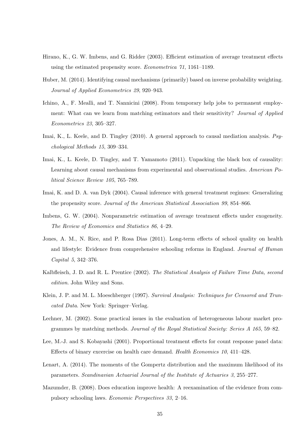- Hirano, K., G. W. Imbens, and G. Ridder (2003). Efficient estimation of average treatment effects using the estimated propensity score. *Econometrica 71*, 1161–1189.
- Huber, M. (2014). Identifying causal mechanisms (primarily) based on inverse probability weighting. *Journal of Applied Econometrics 29*, 920–943.
- Ichino, A., F. Mealli, and T. Nannicini (2008). From temporary help jobs to permanent employment: What can we learn from matching estimators and their sensitivity? *Journal of Applied Econometrics 23*, 305–327.
- Imai, K., L. Keele, and D. Tingley (2010). A general approach to causal mediation analysis. *Psychological Methods 15*, 309–334.
- Imai, K., L. Keele, D. Tingley, and T. Yamamoto (2011). Unpacking the black box of causality: Learning about causal mechanisms from experimental and observational studies. *American Political Science Review 105*, 765–789.
- Imai, K. and D. A. van Dyk (2004). Causal inference with general treatment regimes: Generalizing the propensity score. *Journal of the American Statistical Association 99*, 854–866.
- Imbens, G. W. (2004). Nonparametric estimation of average treatment effects under exogeneity. *The Review of Economics and Statistics 86*, 4–29.
- Jones, A. M., N. Rice, and P. Rosa Dias (2011). Long-term effects of school quality on health and lifestyle: Evidence from comprehensive schooling reforms in England. *Journal of Human Capital 5*, 342–376.
- Kalbfleisch, J. D. and R. L. Prentice (2002). *The Statistical Analysis of Failure Time Data, second edition*. John Wiley and Sons.
- Klein, J. P. and M. L. Moeschberger (1997). *Survival Analysis: Techniques for Censored and Truncated Data*. New York: Springer–Verlag.
- Lechner, M. (2002). Some practical issues in the evaluation of heterogeneous labour market programmes by matching methods. *Journal of the Royal Statistical Society: Series A 165*, 59–82.
- Lee, M.-J. and S. Kobayashi (2001). Proportional treatment effects for count response panel data: Effects of binary excercise on health care demand. *Health Economics 10*, 411–428.
- Lenart, A. (2014). The moments of the Gompertz distribution and the maximum likelihood of its parameters. *Scandinavian Actuarial Journal of the Institute of Actuaries 3*, 255–277.
- Mazumder, B. (2008). Does education improve health: A reexamination of the evidence from compulsory schooling laws. *Economic Perspectives 33*, 2–16.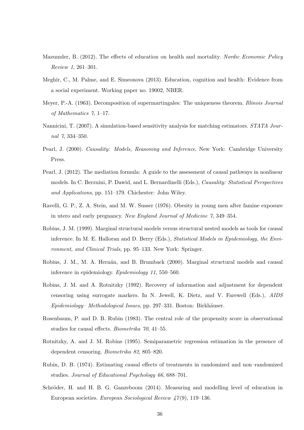- Mazumder, B. (2012). The effects of education on health and mortality. *Nordic Economic Policy Review 1*, 261–301.
- Meghir, C., M. Palme, and E. Simeonova (2013). Education, cognition and health: Evidence from a social experiment. Working paper no. 19002, NBER.
- Meyer, P.-A. (1963). Decomposition of supermartingales: The uniqueness theorem. *Illinois Journal of Mathematics 7*, 1–17.
- Nannicini, T. (2007). A simulation-based sensitivity analysis for matching estimators. *STATA Journal 7*, 334–350.
- Pearl, J. (2000). *Causality: Models, Reasoning and Inference*. New York: Cambridge University Press.
- Pearl, J. (2012). The mediation formula: A guide to the assessment of causal pathways in nonlinear models. In C. Berzuini, P. Dawid, and L. Bernardinelli (Eds.), *Causality: Statistical Perspectives and Applications*, pp. 151–179. Chichester: John Wiley.
- Ravelli, G. P., Z. A. Stein, and M. W. Susser (1976). Obesity in young men after famine exposure in utero and early pregnancy. *New England Journal of Medicine 7*, 349–354.
- Robins, J. M. (1999). Marginal structural models versus structural nested models as tools for causal inference. In M. E. Halloran and D. Berry (Eds.), *Statistical Models in Epidemiology, the Environment, and Clinical Trials*, pp. 95–133. New York: Springer.
- Robins, J. M., M. A. Hernán, and B. Brumback (2000). Marginal structural models and causal inference in epidemiology. *Epidemiology 11*, 550–560.
- Robins, J. M. and A. Rotnitzky (1992). Recovery of information and adjustment for dependent censoring using surrogate markers. In N. Jewell, K. Dietz, and V. Farewell (Eds.), *AIDS Epidemiology– Methodological Issues*, pp. 297–331. Boston: Birkhäuser.
- Rosenbaum, P. and D. B. Rubin (1983). The central role of the propensity score in observational studies for causal effects. *Biometrika 70*, 41–55.
- Rotnitzky, A. and J. M. Robins (1995). Semiparametric regression estimation in the presence of dependent censoring. *Biometrika 82*, 805–820.
- Rubin, D. B. (1974). Estimating causal effects of treatments in randomized and non–randomized studies. *Journal of Educational Psychology 66*, 688–701.
- Schröder, H. and H. B. G. Ganzeboom (2014). Measuring and modelling level of education in European societies. *European Sociological Review 47* (9), 119–136.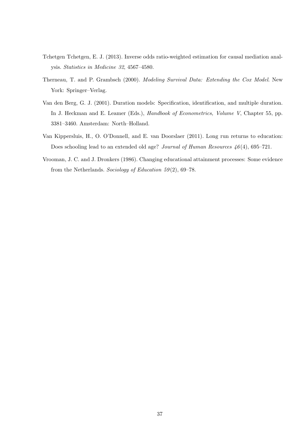- Tchetgen Tchetgen, E. J. (2013). Inverse odds ratio-weighted estimation for causal mediation analysis. *Statistics in Medicine 32*, 4567–4580.
- Therneau, T. and P. Grambsch (2000). *Modeling Survival Data: Extending the Cox Model*. New York: Springer–Verlag.
- Van den Berg, G. J. (2001). Duration models: Specification, identification, and multiple duration. In J. Heckman and E. Leamer (Eds.), *Handbook of Econometrics, Volume V*, Chapter 55, pp. 3381–3460. Amsterdam: North–Holland.
- Van Kippersluis, H., O. O'Donnell, and E. van Doorslaer (2011). Long run returns to education: Does schooling lead to an extended old age? *Journal of Human Resources 46* (4), 695–721.
- Vrooman, J. C. and J. Dronkers (1986). Changing educational attainment processes: Some evidence from the Netherlands. *Sociology of Education 59* (2), 69–78.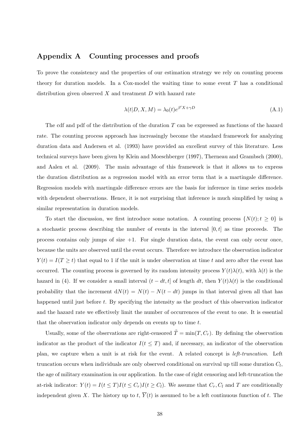## **Appendix A Counting processes and proofs**

To prove the consistency and the properties of our estimation strategy we rely on counting process theory for duration models. In a Cox-model the waiting time to some event *T* has a conditional distribution given observed *X* and treatment *D* with hazard rate

$$
\lambda(t|D, X, M) = \lambda_0(t)e^{\beta'X + \gamma D}
$$
\n(A.1)

The cdf and pdf of the distribution of the duration *T* can be expressed as functions of the hazard rate. The counting process approach has increasingly become the standard framework for analyzing duration data and Andersen et al. (1993) have provided an excellent survey of this literature. Less technical surveys have been given by Klein and Moeschberger (1997), Therneau and Grambsch (2000), and Aalen et al. (2009). The main advantage of this framework is that it allows us to express the duration distribution as a regression model with an error term that is a martingale difference. Regression models with martingale difference errors are the basis for inference in time series models with dependent observations. Hence, it is not surprising that inference is much simplified by using a similar representation in duration models.

To start the discussion, we first introduce some notation. A counting process  $\{N(t); t \geq 0\}$  is a stochastic process describing the number of events in the interval [0*, t*] as time proceeds. The process contains only jumps of size +1. For single duration data, the event can only occur once, because the units are observed until the event occurs. Therefore we introduce the observation indicator  $Y(t) = I(T \geq t)$  that equal to 1 if the unit is under observation at time *t* and zero after the event has occurred. The counting process is governed by its random intensity process  $Y(t)\lambda(t)$ , with  $\lambda(t)$  is the hazard in (4). If we consider a small interval  $(t - dt, t]$  of length  $dt$ , then  $Y(t)\lambda(t)$  is the conditional probability that the increment  $dN(t) = N(t) - N(t - dt)$  jumps in that interval given all that has happened until just before *t*. By specifying the intensity as the product of this observation indicator and the hazard rate we effectively limit the number of occurrences of the event to one. It is essential that the observation indicator only depends on events up to time *t*.

Usually, some of the observations are right-censored  $\tilde{T} = \min(T, C_r)$ . By defining the observation indicator as the product of the indicator  $I(t \leq T)$  and, if necessary, an indicator of the observation plan, we capture when a unit is at risk for the event. A related concept is *left-truncation*. Left truncation occurs when individuals are only observed conditional on survival up till some duration *C<sup>l</sup>* , the age of military examination in our application. In the case of right censoring and left-truncation the at-risk indicator:  $Y(t) = I(t \leq T)I(t \leq C_r)I(t \geq C_l)$ . We assume that  $C_r, C_l$  and T are conditionally independent given *X*. The history up to *t*,  $\overline{Y}(t)$  is assumed to be a left continuous function of *t*. The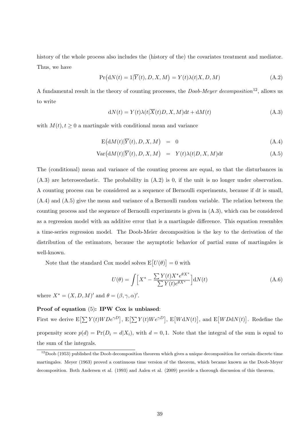history of the whole process also includes the (history of the) the covariates treatment and mediator. Thus, we have

$$
Pr(dN(t) = 1|\overline{Y}(t), D, X, M) = Y(t)\lambda(t|X, D, M)
$$
\n(A.2)

A fundamental result in the theory of counting processes, the *Doob-Meyer decomposition*12, allows us to write

$$
dN(t) = Y(t)\lambda(t|\overline{X}(t)D, X, M)dt + dM(t)
$$
\n(A.3)

with  $M(t)$ ,  $t \geq 0$  a martingale with conditional mean and variance

$$
E(dM(t)|\overline{Y}(t), D, X, M) = 0 \qquad (A.4)
$$

$$
Var(dM(t)|\overline{Y}(t), D, X, M) = Y(t)\lambda(t|D, X, M)dt
$$
\n(A.5)

The (conditional) mean and variance of the counting process are equal, so that the disturbances in (A.3) are heteroscedastic. The probability in (A.2) is 0, if the unit is no longer under observation. A counting process can be considered as a sequence of Bernoulli experiments, because if d*t* is small, (A.4) and (A.5) give the mean and variance of a Bernoulli random variable. The relation between the counting process and the sequence of Bernoulli experiments is given in (A.3), which can be considered as a regression model with an additive error that is a martingale difference. This equation resembles a time-series regression model. The Doob-Meier decomposition is the key to the derivation of the distribution of the estimators, because the asymptotic behavior of partial sums of martingales is well-known.

Note that the standard Cox model solves  $E[U(\theta)] = 0$  with

$$
U(\theta) = \int \left[ X^* - \frac{\sum Y(t)X^* e^{\theta X^*}}{\sum Y(t) e^{\theta X^*}} \right] dN(t)
$$
 (A.6)

where  $X^* = (X, D, M)'$  and  $\theta = (\beta, \gamma, \alpha)'$ .

#### **Proof of equation** (5)**: IPW Cox is unbiased**:

First we derive  $E[\sum Y(t)WDe^{\gamma D}]$ ,  $E[\sum Y(t)We^{\gamma D}]$ ,  $E[WdN(t)]$ , and  $E[WDdN(t)]$ . Redefine the propensity score  $p(d) = Pr(D_i = d | X_i)$ , with  $d = 0, 1$ . Note that the integral of the sum is equal to the sum of the integrals.

 $12$ Doob (1953) published the Doob decomposition theorem which gives a unique decomposition for certain discrete time martingales. Meyer (1963) proved a continuous time version of the theorem, which became known as the Doob-Meyer decomposition. Both Andersen et al. (1993) and Aalen et al. (2009) provide a thorough discussion of this theorem.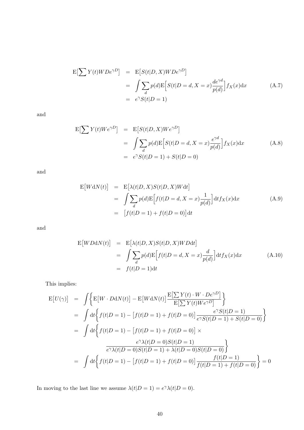$$
E[\sum Y(t)WDe^{\gamma D}] = E[S(t|D, X)WDe^{\gamma D}]
$$
  
= 
$$
\int \sum_{d} p(d)E[S(t|D = d, X = x)\frac{de^{\gamma d}}{p(d)}]f_X(x)dx
$$
 (A.7)  
= 
$$
e^{\gamma}S(t|D = 1)
$$

and

$$
E\left[\sum Y(t)We^{\gamma D}\right] = E\left[S(t|D, X)We^{\gamma D}\right]
$$
  
= 
$$
\int \sum_{d} p(d)E\left[S(t|D = d, X = x)\frac{e^{\gamma d}}{p(d)}\right]f_X(x)dx
$$
  
= 
$$
e^{\gamma}S(t|D = 1) + S(t|D = 0)
$$
 (A.8)

and

$$
E[WdN(t)] = E[\lambda(t|D, X)S(t|D, X)Wdt]
$$
  
= 
$$
\int \sum_{d} p(d)E[f(t|D = d, X = x)\frac{1}{p(d)}]dt f_X(x)dx
$$
  
= 
$$
[f(t|D = 1) + f(t|D = 0)]dt
$$
 (A.9)

and

$$
E[WDdN(t)] = E[\lambda(t|D, X)S(t|D, X)WDdt]
$$
  
= 
$$
\int \sum_{d} p(d)E[f(t|D = d, X = x)\frac{d}{p(d)}]dt f_X(x)dx
$$
 (A.10)  
= 
$$
f(t|D = 1)dt
$$

This implies:

$$
E[U(\gamma)] = \int \Big\{ E[W \cdot DdN(t)] - E[WdN(t)] \frac{E[\sum Y(t) \cdot W \cdot De^{\gamma D}]}{E[\sum Y(t)We^{\gamma D}]} \Big\}
$$
  
= 
$$
\int dt \Big\{ f(t|D = 1) - [f(t|D = 1) + f(t|D = 0)] \frac{e^{\gamma} S(t|D = 1)}{e^{\gamma} S(t|D = 1) + S(t|D = 0)} \Big\}
$$
  
= 
$$
\int dt \Big\{ f(t|D = 1) - [f(t|D = 1) + f(t|D = 0)] \times
$$

$$
\frac{e^{\gamma} \lambda(t|D = 0) S(t|D = 1)}{e^{\gamma} \lambda(t|D = 0) S(t|D = 1) + \lambda(t|D = 0) S(t|D = 0)} \Big\}
$$
  
= 
$$
\int dt \Big\{ f(t|D = 1) - [f(t|D = 1) + f(t|D = 0)] \frac{f(t|D = 1)}{f(t|D = 1) + f(t|D = 0)} \Big\} = 0
$$

In moving to the last line we assume  $\lambda(t|D=1) = e^{\gamma} \lambda(t|D=0)$ .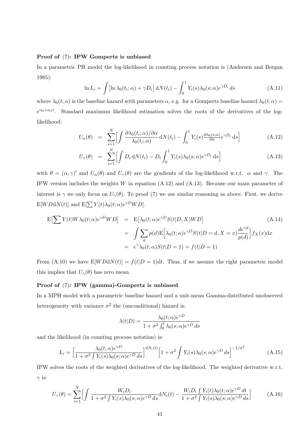#### **Proof of** (7)**: IPW Gompertz is unbiased**

In a parametric PH model the log-likelihood in counting process notation is (Andersen and Borgan 1985):

$$
\ln L_i = \int \left[ \ln \lambda_0(t_i; \alpha) + \gamma D_i \right] dN(t_i) - \int_0^1 Y_i(s) \lambda_0(s; \alpha) e^{\gamma D_i} ds \tag{A.11}
$$

where  $\lambda_0(t; \alpha)$  is the baseline hazard with parameters  $\alpha$ , e.g. for a Gompertz baseline hazard  $\lambda_0(t; \alpha)$  =  $e^{\alpha_0 + \alpha_1 t}$ . Standard maximum likelihood estimation solves the roots of the derivatives of the loglikelihood:

$$
U_{\alpha}(\theta) = \sum_{i=1}^{N} \left[ \int \frac{\partial \lambda_0(t_i; \alpha) / \partial \alpha}{\lambda_0(t_i; \alpha)} dN(t_i) - \int_0^1 Y_i(s) \frac{\partial \lambda_0(s; \alpha)}{\partial \alpha} e^{\gamma D_i} ds \right]
$$
(A.12)

$$
U_{\gamma}(\theta) = \sum_{i=1}^{N} \left[ \int D_i \, \mathrm{d}N(t_i) - D_i \int_0^1 Y_i(s) \lambda_0(s; \alpha) e^{\gamma D_i} \, \mathrm{d}s \right]
$$
\n(A.13)

with  $\theta = (\alpha, \gamma)'$  and  $U_{\alpha}(\theta)$  and  $U_{\gamma}(\theta)$  are the gradients of the log-likelihood w.r.t.  $\alpha$  and  $\gamma$ . The IPW version includes the weights *W* in equation (A.12) and (A.13). Because our main parameter of interest is  $\gamma$  we only focus on  $U_{\gamma}(\theta)$ . To proof (7) we use similar reasoning as above. First, we derive  $E[WDdN(t)]$  and  $E[\sum Y(t)\lambda_0(t;\alpha)e^{\gamma D}WD]$ .

$$
E[\sum Y(t)W\lambda_0(t;\alpha)e^{\gamma D}WD] = E[\lambda_0(t;\alpha)e^{\gamma D}S(t|D,X)WD] \qquad (A.14)
$$
  

$$
= \int \sum_d p(d)E[\lambda_0(t;\alpha)e^{\gamma D}S(t|D=d,X=x)\frac{de^{\gamma d}}{p(d)}]f_X(x)dx
$$
  

$$
= e^{\gamma}\lambda_0(t;\alpha)S(t|D=1) = f(t|D=1)
$$

From (A.10) we have  $E[WDdN(t)] = f(t|D = 1)dt$ . Thus, if we assume the right parametric model this implies that  $U_{\gamma}(\theta)$  has zero mean.

#### **Proof of** (7)**: IPW (gamma)-Gompertz is unbiased**

In a MPH model with a parametric baseline hazard and a unit-mean Gamma-distributed unobserved heterogeneity with variance  $\sigma^2$  the (unconditional) hazard is:

$$
\lambda(t|D) = \frac{\lambda_0(t;\alpha)e^{\gamma D}}{1 + \sigma^2 \int_0^t \lambda_0(s;\alpha)e^{\gamma D} ds}
$$

and the likelihood (in counting process notation) is:

$$
L_i = \left[\frac{\lambda_0(t;\alpha)e^{\gamma D}}{1+\sigma^2\int Y_i(s)\lambda_0(s;\alpha)e^{\gamma D}ds}\right]^{dN_i(t)} \left[1+\sigma^2\int Y_i(s)\lambda_0(s;\alpha)e^{\gamma D}ds\right]^{-1/\sigma^2}
$$
(A.15)

IPW solves the roots of the weighted derivatives of the log-likelihood. The weighted derivative w.r.t.  $\gamma$  is:

$$
U_{\gamma}(\theta) = \sum_{i=1}^{N} \Big[ \int \frac{W_i D_i}{1 + \sigma^2 \int Y_i(s) \lambda_0(s; \alpha) e^{\gamma D} ds} dN_i(t) - \frac{W_i D_i \int Y_i(t) \lambda_0(t; \alpha) e^{\gamma D} dt}{1 + \sigma^2 \int Y_i(s) \lambda_0(s; \alpha) e^{\gamma D} ds} \Big]
$$
(A.16)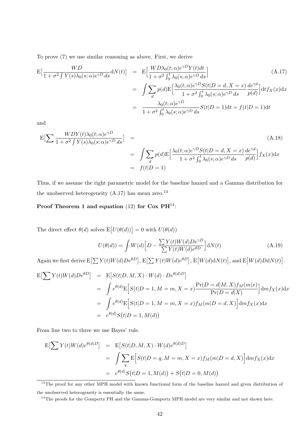To prove (7) we use similar reasoning as above. First, we derive

$$
\mathcal{E}\left[\frac{WD}{1+\sigma^2\int Y(s)\lambda_0(s;\alpha)e^{\gamma D}ds}\mathrm{d}N(t)\right] = \mathcal{E}\left[\frac{WD\lambda_0(t;\alpha)e^{\gamma D}Y(t)dt}{1+\sigma^2\int_0^t\lambda_0(s;\alpha)e^{\gamma D}ds}\right]
$$
\n
$$
= \int \sum_d p(d)\mathcal{E}\left[\frac{\lambda_0(t;\alpha)e^{\gamma D}S(t|D=d,X=x)}{1+\sigma^2\int_0^t\lambda_0(s;\alpha)e^{\gamma D}ds}\frac{de^{\gamma d}}{p(d)}\right]dt f_X(x)dx
$$
\n
$$
= \frac{\lambda_0(t;\alpha)e^{\gamma D}}{1+\sigma^2\int_0^t\lambda_0(s;\alpha)e^{\gamma D}ds}S(t|D=1)dt = f(t|D=1)dt
$$
\n(A.17)

and

$$
E\left[\sum \frac{WDY(t)\lambda_0(t;\alpha)e^{\gamma D}}{1+\sigma^2\int Y(s)\lambda_0(s;\alpha)e^{\gamma D}ds}\right] = \int \sum_d p(d)E\left[\frac{\lambda_0(t;\alpha)e^{\gamma D}S(t|D=d,X=x)}{1+\sigma^2\int_0^t \lambda_0(s;\alpha)e^{\gamma D}ds}\frac{de^{\gamma d}}{p(d)}\right]f_X(x)dx
$$
  
=  $f(t|D=1)$  (A.18)

Thus, if we assume the right parametric model for the baseline hazard and a Gamma distribution for the unobserved heterogeneity  $(A.17)$  has mean zero.<sup>13</sup>

## **Proof Theorem 1 and equation** (12) **for Cox PH**14:

The direct effect  $\theta(d)$  solves  $E[U(\theta(d))] = 0$  with  $U(\theta(d))$ 

$$
U(\theta(d)) = \int W(d) \Big[ D - \frac{\sum Y(t)W(d)De^{\gamma D}}{\sum Y(t)W(d)e^{\theta D}} \Big] dN(t)
$$
\n(A.19)

Again we first derive  $E[\sum Y(t)W(d)De^{\theta D}]$ ,  $E[\sum Y(t)W(d)e^{\theta D}]$ ,  $E[W(d)dN(t)]$ , and  $E[W(d)DAN(t)]$ .

$$
E[\sum Y(t)W(d)De^{\theta D}] = E[S(t|D, M, X) \cdot W(d) \cdot De^{\theta(d)D}]
$$
  
\n
$$
= \int e^{\theta(d)} E[S(t|D = 1, M = m, X = x) \frac{Pr(D = d|M, X)f_M(m|x)}{Pr(D = d|X)}] dm f_X(x) dx
$$
  
\n
$$
= \int e^{\theta(d)} E[S(t|D = 1, M = m, X = x)f_M(m|D = d, X)] dm f_X(x) dx
$$
  
\n
$$
= e^{\theta(d)} S(t|D = 1, M(d))
$$

From line two to three we use Bayes' rule.

$$
E\left[\sum Y(t)W(d)e^{\theta(d)D}\right] = E\left[S(t|D,M,X)\cdot W(d)e^{\theta(d)D}\right]
$$
  
= 
$$
\int \sum_{q} E\left[S(t|D=q,M=m,X=x)f_M(m|D=d,X)\right] dm f_X(x) dx
$$
  
= 
$$
e^{\theta(d)}S(t|D=1,M(d)) + S(t|D=0,M(d))
$$

<sup>13</sup>The proof for any other MPH model with known functional form of the baseline hazard and given distribution of the unobserved heterogeneity is essentially the same.

<sup>14</sup>The proofs for the Gompertz PH and the Gamma-Gompertz MPH model are very similar and not shown here.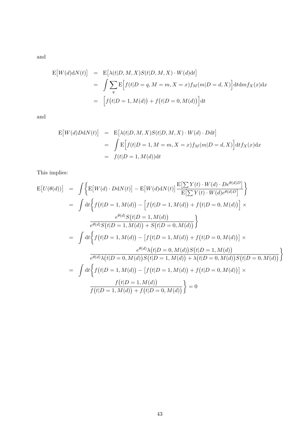and

$$
E[W(d)dN(t)] = E[\lambda(t|D, M, X)S(t|D, M, X) \cdot W(d)dt]
$$
  
= 
$$
\int \sum_{q} E\Big[f(t|D = q, M = m, X = x) f_M(m|D = d, X)\Big] dt dm f_X(x) dx
$$
  
= 
$$
\Big[f(t|D = 1, M(d)) + f(t|D = 0, M(d))\Big] dt
$$

and

$$
E[W(d)DAN(t)] = E[\lambda(t|D, M, X)S(t|D, M, X) \cdot W(d) \cdot Ddt]
$$
  
= 
$$
\int E[f(t|D = 1, M = m, X = x) f_M(m|D = d, X)] dt f_X(x) dx
$$
  
= 
$$
f(t|D = 1, M(d)) dt
$$

This implies:

$$
E[U(\theta(d))] = \int \Big\{ E[W(d) \cdot DdN(t)] - E[W(d)dN(t)] \frac{E[\sum Y(t) \cdot W(d) \cdot De^{\theta(d)D}]}{E[\sum Y(t) \cdot W(d)e^{\theta(d)D}]} \Big\}
$$
  
\n
$$
= \int dt \Big\{ f(t|D = 1, M(d)) - \Big[ f(t|D = 1, M(d)) + f(t|D = 0, M(d)) \Big] \times
$$
  
\n
$$
\frac{e^{\theta(d)}S(t|D = 1, M(d))}{e^{\theta(d)}S(t|D = 1, M(d)) + S(t|D = 0, M(d))} \Big\}
$$
  
\n
$$
= \int dt \Big\{ f(t|D = 1, M(d)) - \Big[ f(t|D = 1, M(d)) + f(t|D = 0, M(d)) \Big] \times
$$
  
\n
$$
\frac{e^{\theta(d)}\lambda(t|D = 0, M(d))S(t|D = 1, M(d))}{e^{\theta(d)}\lambda(t|D = 0, M(d))S(t|D = 1, M(d))} + \lambda(t|D = 0, M(d))S(t|D = 0, M(d))}
$$
  
\n
$$
= \int dt \Big\{ f(t|D = 1, M(d)) - \Big[ f(t|D = 1, M(d)) + f(t|D = 0, M(d)) \Big] \times
$$
  
\n
$$
\frac{f(t|D = 1, M(d))}{f(t|D = 1, M(d)) + f(t|D = 0, M(d))} \Big\} = 0
$$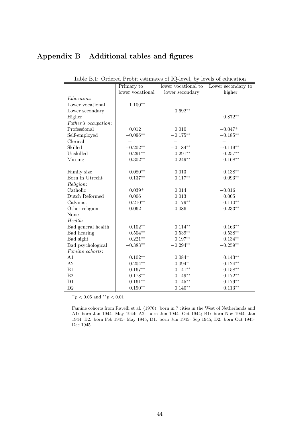## **Appendix B Additional tables and figures**

|                      | Primary to       | lower vocational to | Lower secondary to |
|----------------------|------------------|---------------------|--------------------|
|                      | lower vocational | lower secondary     | higher             |
| <i>Education:</i>    |                  |                     |                    |
| Lower vocational     | $1.100**$        |                     |                    |
| Lower secondary      |                  | $0.692**$           |                    |
| Higher               |                  |                     | $0.872**$          |
| Father's occupation: |                  |                     |                    |
| Professional         | $\,0.012\,$      | 0.010               | $-0.047+$          |
| Self-employed        | $-0.096**$       | $-0.175**$          | $-0.185**$         |
| Clerical             |                  |                     |                    |
| Skilled              | $-0.202**$       | $-0.184**$          | $-0.119**$         |
| Unskilled            | $-0.291**$       | $-0.291**$          | $-0.257**$         |
| <b>Missing</b>       | $-0.302**$       | $-0.249**$          | $-0.168**$         |
|                      |                  |                     |                    |
| Family size          | $0.080**$        | 0.013               | $-0.138**$         |
| Born in Utrecht      | $-0.137**$       | $-0.117**$          | $-0.093**$         |
| Religion:            |                  |                     |                    |
| Catholic             | $0.039+$         | 0.014               | $-0.016$           |
| Dutch Reformed       | 0.006            | $\,0.013\,$         | $0.005\,$          |
| Calvinist            | $0.210**$        | $0.179**$           | $0.110**$          |
| Other religion       | 0.062            | 0.086               | $-0.233**$         |
| None                 |                  |                     |                    |
| Health:              |                  |                     |                    |
| Bad general health   | $-0.102**$       | $-0.114**$          | $-0.163**$         |
| Bad hearing          | $-0.504**$       | $-0.539**$          | $-0.538**$         |
| Bad sight            | $0.221**$        | $0.197**$           | $0.134**$          |
| Bad psychological    | $-0.383**$       | $-0.294**$          | $-0.259**$         |
| Famine cohorts:      |                  |                     |                    |
| A1                   | $0.102**$        | $0.084+$            | $0.143**$          |
| A2                   | $0.204**$        | $0.094+$            | $0.124**$          |
| B1                   | $0.167**$        | $0.141**$           | $0.158**$          |
| $\rm B2$             | $0.178**$        | $0.149**$           | $0.172**$          |
| D1                   | $0.161**$        | $0.145***$          | $0.179**$          |
| $\mathrm{D}2$        | $0.190**$        | $0.140**$           | $0.113**$          |

Table B.1: Ordered Probit estimates of IQ-level, by levels of education

<sup>+</sup>*p <* 0*.*05 and *∗∗p <* 0*.*01

Famine cohorts from Ravelli et al. (1976): born in 7 cities in the West of Netherlands and A1: born Jan 1944- May 1944; A2: born Jun 1944- Oct 1944; B1: born Nov 1944- Jan 1944; B2: born Feb 1945- May 1945; D1: born Jun 1945- Sep 1945; D2: born Oct 1945- Dec 1945.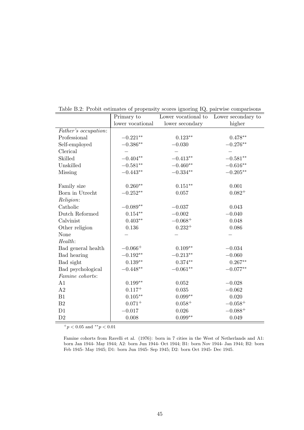|                      | Primary to       | Lower vocational to | Lower secondary to  |
|----------------------|------------------|---------------------|---------------------|
|                      | lower vocational | lower secondary     | higher              |
| Father's occupation: |                  |                     |                     |
| Professional         | $-0.221**$       | $0.123**$           | $0.478**$           |
| Self-employed        | $-0.386**$       | $-0.030$            | $-0.276**$          |
| Clerical             |                  |                     |                     |
| Skilled              | $-0.404**$       | $-0.413**$          | $-0.581^{\ast\ast}$ |
| Unskilled            | $-0.581**$       | $-0.460**$          | $-0.616**$          |
| Missing              | $-0.443**$       | $-0.334**$          | $-0.205**$          |
| Family size          | $0.260**$        | $0.151**$           | 0.001               |
| Born in Utrecht      | $-0.252**$       | 0.057               | $0.082^{+}$         |
| Religion:            |                  |                     |                     |
| Catholic             | $-0.089**$       | $-0.037$            | 0.043               |
| Dutch Reformed       | $0.154**$        | $-0.002$            | $-0.040$            |
| Calvinist            | $0.403**$        | $-0.068+$           | 0.048               |
| Other religion       | 0.136            | $0.232^{+}$         | 0.086               |
| None                 |                  |                     |                     |
| Health:              |                  |                     |                     |
| Bad general health   | $-0.066+$        | $0.109**$           | $-0.034$            |
| Bad hearing          | $-0.192**$       | $-0.213**$          | $-0.060$            |
| Bad sight            | $0.139**$        | $0.374**$           | $0.267**$           |
| Bad psychological    | $-0.448**$       | $-0.061**$          | $-0.077**$          |
| Famine cohorts:      |                  |                     |                     |
| A1                   | $0.199**$        | 0.052               | $-0.028$            |
| A2                   | $0.117^{+}$      | 0.035               | $-0.062$            |
| B1                   | $0.105***$       | $0.099**$           | 0.020               |
| B <sub>2</sub>       | $0.071^{+}$      | $0.058 +$           | $-0.058+$           |
| D1                   | $-0.017$         | 0.026               | $-0.088 +$          |
| D2                   | 0.008            | $0.099**$           | 0.049               |

Table B.2: Probit estimates of propensity scores ignoring IQ, pairwise comparisons

Famine cohorts from Ravelli et al. (1976): born in 7 cities in the West of Netherlands and A1: born Jan 1944- May 1944; A2: born Jun 1944- Oct 1944; B1: born Nov 1944- Jan 1944; B2: born Feb 1945- May 1945; D1: born Jun 1945- Sep 1945; D2: born Oct 1945- Dec 1945.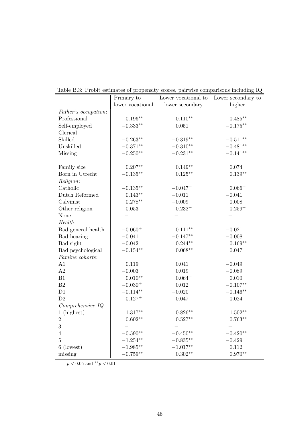|                      | Primary to       | Lower vocational to | Lower secondary to |
|----------------------|------------------|---------------------|--------------------|
|                      | lower vocational | lower secondary     | higher             |
| Father's occupation: |                  |                     |                    |
| Professional         | $-0.196**$       | $0.110**$           | $0.485**$          |
| Self-employed        | $-0.333**$       | 0.051               | $-0.175**$         |
| Clerical             |                  |                     |                    |
| Skilled              | $-0.263**$       | $-0.319**$          | $-0.511**$         |
| Unskilled            | $-0.371**$       | $-0.310**$          | $-0.481**$         |
| <b>Missing</b>       | $-0.250**$       | $-0.231**$          | $-0.141**$         |
| Family size          | $0.207**$        | $0.149**$           | $0.074 +$          |
| Born in Utrecht      | $-0.135**$       | $0.125**$           | $0.139**$          |
| Religion:            |                  |                     |                    |
| Catholic             | $-0.135***$      | $-0.047^{+}$        | $0.066+$           |
| Dutch Reformed       | $0.143**$        | $-0.011$            | $-0.041$           |
| Calvinist            | $0.278**$        | $-0.009$            | 0.008              |
| Other religion       | 0.053            | $0.232^{+}$         | $0.259^{+}$        |
| None                 |                  |                     |                    |
| Health:              |                  |                     |                    |
| Bad general health   | $-0.060^{+}$     | $0.111**$           | $-0.021$           |
| Bad hearing          | $-0.041$         | $-0.147**$          | $-0.008$           |
| Bad sight            | $-0.042$         | $0.244**$           | $0.169**$          |
| Bad psychological    | $-0.154**$       | $0.068**$           | 0.047              |
| Famine cohorts:      |                  |                     |                    |
| A1                   | 0.119            | 0.041               | $-0.049$           |
| A2                   | $-0.003$         | 0.019               | $-0.089$           |
| B1                   | $0.010**$        | $0.064^{+}$         | $0.010\,$          |
| $\rm B2$             | $-0.030^{+}$     | $0.012\,$           | $-0.107**$         |
| D1                   | $-0.114**$       | $-0.020$            | $-0.146**$         |
| D2                   | $-0.127^{+}$     | 0.047               | 0.024              |
| Comprehensive IQ     |                  |                     |                    |
| 1 (highest)          | $1.317**$        | $0.826**$           | $1.502**$          |
| $\sqrt{2}$           | $0.602**$        | $0.527**$           | $0.763**$          |
| 3                    |                  |                     |                    |
| $\overline{4}$       | $-0.590**$       | $-0.450**$          | $-0.420**$         |
| $\overline{5}$       | $-1.254**$       | $-0.835**$          | $-0.429+$          |
| 6 (lowest)           | $-1.985**$       | $-1.017**$          | 0.112              |
| missing              | $-0.759**$       | $0.302**$           | $0.970**$          |

Table B.3: Probit estimates of propensity scores, pairwise comparisons including IQ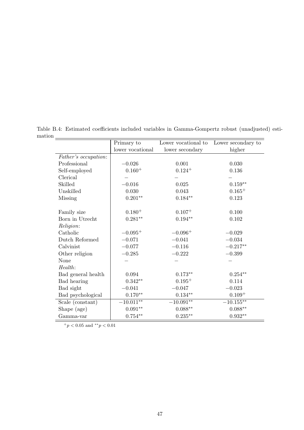|                      | Primary to       | Lower vocational to | Lower secondary to |
|----------------------|------------------|---------------------|--------------------|
|                      | lower vocational | lower secondary     | higher             |
| Father's occupation: |                  |                     |                    |
| Professional         | $-0.026$         | 0.001               | 0.030              |
| Self-employed        | $0.160^{+}$      | $0.124 +$           | 0.136              |
| Clerical             |                  |                     |                    |
| Skilled              | $-0.016$         | 0.025               | $0.159**$          |
| Unskilled            | 0.030            | 0.043               | $0.165+$           |
| Missing              | $0.201**$        | $0.184**$           | 0.123              |
| Family size          | $0.180^{+}$      | $0.107 +$           | 0.100              |
| Born in Utrecht      | $0.281**$        | $0.194**$           | 0.102              |
| Religion:            |                  |                     |                    |
| Catholic             | $-0.095^{+}$     | $-0.096+$           | $-0.029$           |
| Dutch Reformed       | $-0.071$         | $-0.041$            | $-0.034$           |
| Calvinist            | $-0.077$         | $-0.116$            | $-0.217**$         |
| Other religion       | $-0.285$         | $-0.222$            | $-0.399$           |
| None                 |                  |                     |                    |
| Health:              |                  |                     |                    |
| Bad general health   | 0.094            | $0.173**$           | $0.254**$          |
| Bad hearing          | $0.342**$        | $0.195^{+}$         | 0.114              |
| Bad sight            | $-0.041$         | $-0.047$            | $-0.023$           |
| Bad psychological    | $0.170**$        | $0.134^{\ast\ast}$  | $0.109 +$          |
| Scale (constant)     | $-10.011**$      | $-10.091**$         | $-10.155***$       |
| Shape (age)          | $0.091**$        | $0.088**$           | $0.088**$          |
| Gamma-var            | $0.754**$        | $0.235***$          | $0.932^{\ast\ast}$ |

Table B.4: Estimated coefficients included variables in Gamma-Gompertz robust (unadjusted) esti- $\begin{array}{c|c}\n\hline\n\text{mation} & \text{mation} \\
\hline\n\end{array}$ Primary to Lower vocational to Lower secondary to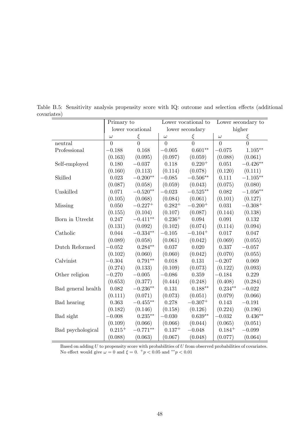|                    | Primary to  |                  |             | Lower vocational to   |             | Lower secondary to |
|--------------------|-------------|------------------|-------------|-----------------------|-------------|--------------------|
|                    |             | lower vocational |             | lower secondary       |             | higher             |
|                    | $\omega$    | $\xi$            | $\omega$    | ξ                     | $\omega$    | ξ                  |
| neutral            | $\theta$    | $\overline{0}$   | $\theta$    | $\overline{0}$        | $\theta$    | $\overline{0}$     |
| Professional       | $-0.188$    | 0.168            | $-0.005$    | $0.601**$             | $-0.075$    | $1.105***$         |
|                    | (0.163)     | (0.095)          | (0.097)     | (0.059)               | (0.088)     | (0.061)            |
| Self-employed      | 0.180       | $-0.037$         | 0.118       | $0.220 +$             | 0.051       | $-0.426**$         |
|                    | (0.160)     | (0.113)          | (0.114)     | (0.078)               | (0.120)     | (0.111)            |
| Skilled            | 0.023       | $-0.200**$       | $-0.085$    | $-0.506**$            | 0.111       | $-1.105**$         |
|                    | (0.087)     | (0.058)          | (0.059)     | (0.043)               | (0.075)     | (0.080)            |
| Unskilled          | 0.071       | $-0.520**$       | $-0.023$    | $-0.525**$            | 0.082       | $-1.056**$         |
|                    | (0.105)     | (0.068)          | (0.084)     | (0.061)               | (0.101)     | (0.127)            |
| Missing            | 0.050       | $-0.227^{+}$     | $0.282^{+}$ | $-0.200^{+}$          | 0.031       | $-0.308^{+}$       |
|                    | (0.155)     | (0.104)          | (0.107)     | (0.087)               | (0.144)     | (0.138)            |
| Born in Utrecht    | 0.247       | $-0.411**$       | $0.236 +$   | 0.094                 | 0.091       | 0.132              |
|                    | (0.131)     | (0.092)          | (0.102)     | (0.074)               | (0.114)     | (0.094)            |
| Catholic           | 0.044       | $-0.334**$       | $-0.105$    | $-0.104$ <sup>+</sup> | 0.017       | 0.047              |
|                    | (0.089)     | (0.058)          | (0.061)     | (0.042)               | (0.069)     | (0.055)            |
| Dutch Reformed     | $-0.052$    | $0.284**$        | 0.037       | 0.020                 | 0.337       | $-0.057$           |
|                    | (0.102)     | (0.060)          | (0.060)     | (0.042)               | (0.070)     | (0.055)            |
| Calvinist          | $-0.304$    | $0.791**$        | 0.018       | 0.131                 | $-0.207$    | 0.069              |
|                    | (0.274)     | (0.133)          | (0.109)     | (0.073)               | (0.122)     | (0.093)            |
| Other religion     | $-0.270$    | $-0.005$         | $-0.086$    | 0.359                 | $-0.184$    | 0.229              |
|                    | (0.653)     | (0.377)          | (0.444)     | (0.248)               | (0.408)     | (0.284)            |
| Bad general health | 0.082       | $-0.236**$       | 0.131       | $0.188**$             | $0.234**$   | $-0.022$           |
|                    | (0.111)     | (0.071)          | (0.073)     | (0.051)               | (0.079)     | (0.066)            |
| Bad hearing        | 0.363       | $-0.455***$      | 0.278       | $-0.307+$             | 0.143       | $-0.191$           |
|                    | (0.182)     | (0.146)          | (0.158)     | (0.126)               | (0.224)     | (0.196)            |
| Bad sight          | $-0.008$    | $0.235**$        | $-0.030$    | $0.639**$             | $-0.032$    | $0.436**$          |
|                    | (0.109)     | (0.066)          | (0.066)     | (0.044)               | (0.065)     | (0.051)            |
| Bad psychological  | $0.215^{+}$ | $-0.771**$       | $0.137^{+}$ | $-0.048$              | $0.184^{+}$ | $-0.099$           |
|                    | (0.088)     | (0.063)          | (0.067)     | (0.048)               | (0.077)     | (0.064)            |

Table B.5: Sensitivity analysis propensity score with IQ: outcome and selection effects (additional covariates)

Based on adding *U* to propensity score with probabilities of *U* from observed probabilities of covariates. No effect would give  $\omega = 0$  and  $\xi = 0$ .  $^+p < 0.05$  and  $^{**}p < 0.01$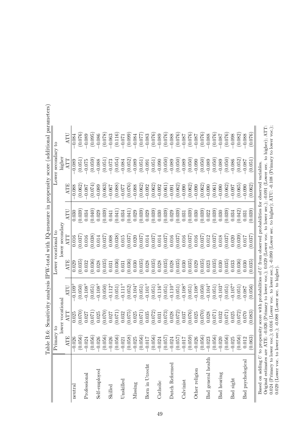|                                                                                                                                            |                                              |                  |                       |            |                     |         |          |                    | тяристория (при собору с в собору с в собору с в собору с в собору с в собору с в собору с собору с собору с со |
|--------------------------------------------------------------------------------------------------------------------------------------------|----------------------------------------------|------------------|-----------------------|------------|---------------------|---------|----------|--------------------|-----------------------------------------------------------------------------------------------------------------|
|                                                                                                                                            | Primary to                                   |                  |                       |            | Lower vocational to |         |          | Lower secondary to |                                                                                                                 |
|                                                                                                                                            |                                              | lower vocational |                       |            | lower secondary     |         |          | higher             |                                                                                                                 |
|                                                                                                                                            | <b>ATE</b>                                   | ATT              | ATU                   | <b>ATE</b> | ATT                 | ATU     | ATE      | ATT                | ATU                                                                                                             |
| neutral                                                                                                                                    | 026<br>$ \vec{\cdot} $                       | 0.025            | $-0.109$ <sup>+</sup> | 0.029      | 0.016               | 0.030   | $-0.088$ | $-0.089$           | $-0.084$                                                                                                        |
|                                                                                                                                            | 056)                                         | (0.070)          | (0.050)               | (0.035)    | (0.037)             | (0.039) | (0.062)  | (0.051)            | (0.076)                                                                                                         |
| Professional                                                                                                                               | 024                                          | 0.027            | $-0.108 +$            | 0.032      | 0.016               | 0.034   | $-0.087$ | $-0.075$           | $-0.089$                                                                                                        |
|                                                                                                                                            | 056)                                         | (0.071)          | (0.051)               | (0.036)    | (0.038)             | (0.040) | (0.074)  | (0.059)            | (0.095)                                                                                                         |
| Self-employed                                                                                                                              | 026                                          | 0.025            | $-0.108 +$            | 0.028      | 0.014               | 0.029   | $-0.089$ | $-0.088$           | $-0.086$                                                                                                        |
|                                                                                                                                            | (36)                                         | (0.070)          | (0.050)               | (0.035)    | (0.037)             | (0.039) | (0.063)  | (0.051)            | (0.078)                                                                                                         |
| Skilled                                                                                                                                    | 026                                          | 0.027            | $-0.112$ <sup>+</sup> | 0.031      | 0.008               | 0.041   | $-0.067$ | $-0.073$           | $-0.063$                                                                                                        |
|                                                                                                                                            | (056)                                        | (0.071)          | (0.051)               | (0.036)    | (0.038)             | (0.041) | (0.088)  | (0.054)            | (0.116)                                                                                                         |
| Unskilled                                                                                                                                  | 021                                          | 0.032            | $-0.111$ <sup>+</sup> | 0.031      | 0.015               | 0.034   | $-0.077$ | $-0.084$           | $-0.071$                                                                                                        |
|                                                                                                                                            | (658)                                        | (0.075)          | (0.052)               | (0.036)    | (0.037)             | (0.041) | (0.076)  | (0.052)            | (0.099)                                                                                                         |
| Missing                                                                                                                                    | 025                                          | 0.025            | $-0.104$ <sup>+</sup> | 0.030      | 0.020               | 0.029   | $-0.088$ | $-0.089$           | $-0.084$                                                                                                        |
|                                                                                                                                            | (056)                                        | (0.071)          | (0.051)               | (0.035)    | (0.037)             | (0.039) | (0.062)  | (0.051)            | (0.077)                                                                                                         |
| Born in Utrecht                                                                                                                            | 710                                          | 0.035            | $-0.101$ <sup>+</sup> | 0.028      | 0.014               | 0.029   | $-0.092$ | $-0.091$           | $-0.083$                                                                                                        |
|                                                                                                                                            | (356)                                        | (0.072)          | (0.051)               | (0.035)    | (0.037)             | (0.039) | (0.062)  | (0.051)            | (0.076)                                                                                                         |
| Catholic                                                                                                                                   | 024                                          | 0.031            | $-0.116^{+}$          | 0.028      | 0.014               | 0.030   | $-0.092$ | $-0.090$           | $-0.089$                                                                                                        |
|                                                                                                                                            | (057)                                        | (0.073)          | (0.051)               | (0.035)    | (0.037)             | (0.039) | (0.061)  | (0.050)            | (0.076)                                                                                                         |
| Dutch Reformed                                                                                                                             | 024                                          | 0.028            | $-0.110^{+}$          | 0.028      | 0.016               | 0.029   | $-0.091$ | $-0.089$           | $-0.088$                                                                                                        |
|                                                                                                                                            | 057                                          | (0.072)          | (0.051)               | (0.035)    | (0.037)             | (0.039) | (0.062)  | (0.050)            | (0.076)                                                                                                         |
| Calvinist                                                                                                                                  | 710                                          | 0.037            | $-0.108 +$            | 0.030      | 0.016               | 0.031   | $-0.090$ | $-0.089$           | $-0.087$                                                                                                        |
|                                                                                                                                            | (659)                                        | (0.076)          | (0.051)               | (0.035)    | (0.037)             | (0.039) | (0.062)  | (0.050)            | (0.076)                                                                                                         |
| Other religion                                                                                                                             | 026                                          | 0.025            | $-0.108 +$            | 0.029      | 0.016               | 0.030   | $-0.090$ | $-0.090$           | $-0.087$                                                                                                        |
|                                                                                                                                            | (056)                                        | (0.070)          | (0.050)               | (0.035)    | (0.037)             | (0.039) | (0.062)  | (0.050)            | (0.076)                                                                                                         |
| Bad general health                                                                                                                         | 023                                          | 0.028            | $-0.104$ <sup>+</sup> | 0.023      | 0.012               | 0.022   | $-0.090$ | $-0.089$           | $-0.088$                                                                                                        |
|                                                                                                                                            | (356)<br><u>Spongopopopopopopopopopopopo</u> | (170.0)          | (0.051)               | (0.035)    | (0.037)             | (0.039) | (0.061)  | (0.050)            | (0.076)                                                                                                         |
| <b>Bad</b> hearing                                                                                                                         | 020                                          | 0.032            | $-0.103$ <sup>+</sup> | 0.030      | 0.018               | 0.030   | $-0.090$ | $-0.089$           | $-0.087$                                                                                                        |
|                                                                                                                                            | (356)                                        | (170.0)          | (0.051)               | (0.035)    | (0.037)             | (0.039) | (0.062)  | (0.050)            | (0.076)                                                                                                         |
| Bad sight                                                                                                                                  | 025                                          | 0.025            | $-0.107$ <sup>+</sup> | 0.033      | 0.020               | 0.034   | $-0.097$ | $-0.086$           | $-0.098$                                                                                                        |
|                                                                                                                                            | (36)                                         | (0.072)          | (0.051)               | (0.036)    | (0.039)             | (0.042) | (0.065)  | (0.052)            | (0.082)                                                                                                         |
| Bad psychological                                                                                                                          | 012                                          | 0.070            | $-0.087$              | 0.030      | 0.017               | 0.031   | $-0.090$ | $-0.087$           | $-0.088$                                                                                                        |
|                                                                                                                                            | (63)                                         | (0.083)          | (0.056)               | (0.035)    | (0.037)             | (0.039) | (0.062)  | (0.051)            | (0.076)                                                                                                         |
| Based on adding $U$ to propensity score with probabilities of $U$ from observed probabilities for observed variables.                      |                                              |                  |                       |            |                     |         |          |                    |                                                                                                                 |
| Original estimates are ATE: -0.026 (Primary to lower voc.); 0.029 (Lower voc. to lower sec.); -0.091 (Lower sec. to higher); ATT:          |                                              |                  |                       |            |                     |         |          |                    |                                                                                                                 |
|                                                                                                                                            |                                              |                  |                       |            |                     |         |          |                    | ); -0.090 (Lower sec. to higher); ATU: -0.108 (Primary to lower voc.);                                          |
| $0.024$ (Primary to lower voc.); $0.016$ (Lower voc. to lower sec.)<br>$0.029$ (Lower voc. to lower sec.); $-0.088$ (Lower sec. to higher) |                                              |                  |                       |            |                     |         |          |                    |                                                                                                                 |

Table B.6: Sensitivity analysis IPW-total with IQ-measure in propensity score (additional parameters) Table B.6: Sensitivity analysis IPW-total with IQ-measure in propensity score (additional parameters)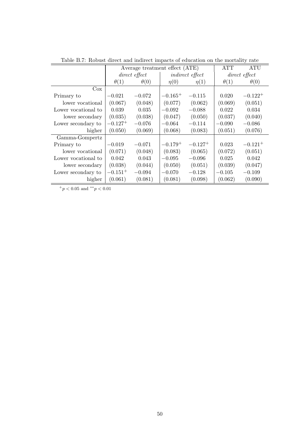|                     |              | Average treatment effect (ATE) |              |                        | <b>ATT</b>  | ATU           |
|---------------------|--------------|--------------------------------|--------------|------------------------|-------------|---------------|
|                     |              | direct effect                  |              | <i>indirect effect</i> |             | direct effect |
|                     | $\theta(1)$  | $\theta(0)$                    | $\eta(0)$    | $\eta(1)$              | $\theta(1)$ | $\theta(0)$   |
| $\cos$              |              |                                |              |                        |             |               |
| Primary to          | $-0.021$     | $-0.072$                       | $-0.165+$    | $-0.115$               | 0.020       | $-0.122^{+}$  |
| lower vocational    | (0.067)      | (0.048)                        | (0.077)      | (0.062)                | (0.069)     | (0.051)       |
| Lower vocational to | 0.039        | 0.035                          | $-0.092$     | $-0.088$               | 0.022       | 0.034         |
| lower secondary     | (0.035)      | (0.038)                        | (0.047)      | (0.050)                | (0.037)     | (0.040)       |
| Lower secondary to  | $-0.127^{+}$ | $-0.076$                       | $-0.064$     | $-0.114$               | $-0.090$    | $-0.086$      |
| higher              | (0.050)      | (0.069)                        | (0.068)      | (0.083)                | (0.051)     | (0.076)       |
| Gamma-Gompertz      |              |                                |              |                        |             |               |
| Primary to          | $-0.019$     | $-0.071$                       | $-0.179^{+}$ | $-0.127^{+}$           | 0.023       | $-0.121^{+}$  |
| lower vocational    | (0.071)      | (0.048)                        | (0.083)      | (0.065)                | (0.072)     | (0.051)       |
| Lower vocational to | 0.042        | 0.043                          | $-0.095$     | $-0.096$               | 0.025       | 0.042         |
| lower secondary     | (0.038)      | (0.044)                        | (0.050)      | (0.051)                | (0.039)     | (0.047)       |
| Lower secondary to  | $-0.151^{+}$ | $-0.094$                       | $-0.070$     | $-0.128$               | $-0.105$    | $-0.109$      |
| higher              | (0.061)      | (0.081)                        | (0.081)      | (0.098)                | (0.062)     | (0.090)       |

Table B.7: Robust direct and indirect impacts of education on the mortality rate

 $+*p* < 0.05$  and  $*<sup>*</sup>*p* < 0.01$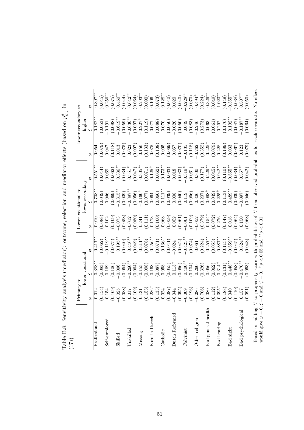| $p_{m,j}$ на высоко с поседания при принятии и случает с сотрудних удивности при принятии с сотрудниками при принятии и при принятии и при принятии при принятии и при принятии при принятии при принятии при принятии при при<br>(71) |                                                              |                                                                                                                                                                                                                                                                                                                                                 |                                                                                                                                                                                                                                                                                                                           |                                                                                                                                                                                                             |                                                                                                                                                                                                                                                                                                                                                  |                                                                                                                     |                                                                                                                                                                                                                                                                                                                       |                                                                                                                                                    |                                                                                                                         |
|----------------------------------------------------------------------------------------------------------------------------------------------------------------------------------------------------------------------------------------|--------------------------------------------------------------|-------------------------------------------------------------------------------------------------------------------------------------------------------------------------------------------------------------------------------------------------------------------------------------------------------------------------------------------------|---------------------------------------------------------------------------------------------------------------------------------------------------------------------------------------------------------------------------------------------------------------------------------------------------------------------------|-------------------------------------------------------------------------------------------------------------------------------------------------------------------------------------------------------------|--------------------------------------------------------------------------------------------------------------------------------------------------------------------------------------------------------------------------------------------------------------------------------------------------------------------------------------------------|---------------------------------------------------------------------------------------------------------------------|-----------------------------------------------------------------------------------------------------------------------------------------------------------------------------------------------------------------------------------------------------------------------------------------------------------------------|----------------------------------------------------------------------------------------------------------------------------------------------------|-------------------------------------------------------------------------------------------------------------------------|
|                                                                                                                                                                                                                                        | Primary to                                                   |                                                                                                                                                                                                                                                                                                                                                 |                                                                                                                                                                                                                                                                                                                           | Lower vocational                                                                                                                                                                                            |                                                                                                                                                                                                                                                                                                                                                  |                                                                                                                     |                                                                                                                                                                                                                                                                                                                       | Lower secondary to                                                                                                                                 |                                                                                                                         |
|                                                                                                                                                                                                                                        |                                                              | lower vocational                                                                                                                                                                                                                                                                                                                                |                                                                                                                                                                                                                                                                                                                           |                                                                                                                                                                                                             | lower secondary                                                                                                                                                                                                                                                                                                                                  |                                                                                                                     |                                                                                                                                                                                                                                                                                                                       | higher                                                                                                                                             |                                                                                                                         |
|                                                                                                                                                                                                                                        | 3                                                            |                                                                                                                                                                                                                                                                                                                                                 |                                                                                                                                                                                                                                                                                                                           | 3                                                                                                                                                                                                           |                                                                                                                                                                                                                                                                                                                                                  |                                                                                                                     |                                                                                                                                                                                                                                                                                                                       |                                                                                                                                                    |                                                                                                                         |
| Professional                                                                                                                                                                                                                           | 0.012                                                        | $0.388^{**}$                                                                                                                                                                                                                                                                                                                                    | $-0.417*$                                                                                                                                                                                                                                                                                                                 | 0.010                                                                                                                                                                                                       | $0.708*$                                                                                                                                                                                                                                                                                                                                         | 0.551                                                                                                               | 0.054                                                                                                                                                                                                                                                                                                                 | $0.182*$                                                                                                                                           | $0.397**$                                                                                                               |
|                                                                                                                                                                                                                                        | (0.154)                                                      | $\begin{array}{c} (0.083) \\ 0.169 \end{array}$                                                                                                                                                                                                                                                                                                 | (0.062)                                                                                                                                                                                                                                                                                                                   | (0.088)                                                                                                                                                                                                     | $(0.049)$<br>0.046                                                                                                                                                                                                                                                                                                                               | (0.044)                                                                                                             | $710.079$<br>0.047                                                                                                                                                                                                                                                                                                    | (0.053)                                                                                                                                            | $(0.045)$<br>$0.256***$                                                                                                 |
| Self-employed                                                                                                                                                                                                                          | 0.154                                                        |                                                                                                                                                                                                                                                                                                                                                 | $-0.119**$                                                                                                                                                                                                                                                                                                                | 0.102                                                                                                                                                                                                       |                                                                                                                                                                                                                                                                                                                                                  | 0.069                                                                                                               |                                                                                                                                                                                                                                                                                                                       | $-0.191$                                                                                                                                           |                                                                                                                         |
|                                                                                                                                                                                                                                        | (0.169)                                                      | $(0.106)$<br>$-0.096$                                                                                                                                                                                                                                                                                                                           | (0.075)                                                                                                                                                                                                                                                                                                                   | (0.109)                                                                                                                                                                                                     | (0.069)                                                                                                                                                                                                                                                                                                                                          | (0.062)                                                                                                             | $\begin{array}{c} (0.118) \\ 0.013 \end{array}$                                                                                                                                                                                                                                                                       | (0.098)                                                                                                                                            | (0.075)                                                                                                                 |
| Skilled                                                                                                                                                                                                                                | $-0.025$                                                     |                                                                                                                                                                                                                                                                                                                                                 | $0.195**$                                                                                                                                                                                                                                                                                                                 | $-0.073$                                                                                                                                                                                                    | $-0.315*$                                                                                                                                                                                                                                                                                                                                        | $0.336**$                                                                                                           |                                                                                                                                                                                                                                                                                                                       | $-0.619**$                                                                                                                                         | $0.460**$                                                                                                               |
|                                                                                                                                                                                                                                        | (0.088)                                                      | (0.054)                                                                                                                                                                                                                                                                                                                                         | (0.040)                                                                                                                                                                                                                                                                                                                   | (0.058)                                                                                                                                                                                                     | (0.039)                                                                                                                                                                                                                                                                                                                                          | (0.034)                                                                                                             | $(0.075)$<br>$0.023$                                                                                                                                                                                                                                                                                                  | (0.059)                                                                                                                                            | (0.044)                                                                                                                 |
| Unskilled                                                                                                                                                                                                                              | 710.0                                                        | $-0.260**$                                                                                                                                                                                                                                                                                                                                      | $0.446**$                                                                                                                                                                                                                                                                                                                 | $-0.012$                                                                                                                                                                                                    | $-0.397$ *                                                                                                                                                                                                                                                                                                                                       | $0.551***$                                                                                                          |                                                                                                                                                                                                                                                                                                                       | $-0.636***$                                                                                                                                        | $0.642**$                                                                                                               |
|                                                                                                                                                                                                                                        | (0.109)                                                      | $\begin{array}{l} (0.064) \\ (-0.155) \\ (-0.098) \\ (0.087) \\ (-0.067) \\ (0.058) \\ (-0.067) \\ (-0.058) \\ (-0.055) \\ (-0.056) \\ (-0.040)^{**} \\ (0.040) \\ (-0.040) \\ (-0.040) \\ (-0.040) \\ (-0.040) \\ (-0.040) \\ (-0.040) \\ (-0.040) \\ (-0.040) \\ (-0.040) \\ (-0.040) \\ (-0.040) \\ (-0.040) \\ (-0.040) \\ (-0.040) \\ (-0$ | $\begin{array}{c} (0.049)\\0.311^{**}\\0.311^{**}\\0.078)\\0.256^{**}\\(0.071)\\0.136^{**}\\(0.041)\\-0.042\\(-0.042)\\-0.0428^{**}\\-0.425^{**}\\-0.425^{**}\\-0.425^{**}\\-0.425^{**}\\-0.425^{**}\\-0.425^{**}\\-0.425^{**}\\-0.425^{**}\\-0.425^{**}\\-0.425^{**}\\-0.425^{**}\\-0.425^{**}\\-0.425^{**}\\-0.425^{**$ | $\begin{array}{c} (0.080) \\ 0.241 \\ 0.171 \\ 0.173 \\ 0.000 \\ 0.000 \\ 0.000 \\ 0.000 \\ 0.001 \\ 0.001 \\ 0.001 \\ 0.001 \\ 0.001 \\ 0.000 \\ 0.001 \\ 0.002 \\ 0.002 \\ 0.002 \\ 0.003 \\ \end{array}$ | $\begin{array}{l} (0.056) \\[-4pt] (-0.160^{+}) \\[-4pt] (-0.066) \\[-4pt] (-0.066) \\[-4pt] (-0.039) \\[-4pt] (-0.039) \\[-4pt] (-0.039) \\[-4pt] (-0.039) \\[-4pt] (-0.039) \\[-4pt] (-0.039) \\[-4pt] (-0.039) \\[-4pt] (-0.039) \\[-4pt] (-0.039) \\[-4pt] (-0.039) \\[-4pt] (-0.039) \\[-4pt] (-0.039) \\[-4pt] (-0.039) \\[-4pt] (-0.039)$ | $\begin{array}{c} (0.047) \\ 0.305^{**} \\ (0.071) \\ 0.125^{+} \\ (0.062) \\ 0.173^{**} \\ (0.063) \\ \end{array}$ | $\begin{array}{l} (0.097) \\ 0.156 \\ (0.133) \\ (0.075) \\ (0.006) \\ (0.006) \\ (0.007) \\ (0.007) \\ (0.007) \\ (0.070) \\ (0.070) \\ (0.070) \\ (0.070) \\ (0.070) \\ (0.070) \\ (0.070) \\ (0.070) \\ (0.070) \\ (0.070) \\ (0.070) \\ (0.070) \\ (0.070) \\ (0.070) \\ (0.070) \\ (0.070) \\ (0.070) \\ (0.070$ | $\begin{array}{l} (0.097) \\ -0.227 \\ -0.227 \\ 0.119) \\ -0.077 \\ -0.088 \\ -0.070 \\ -0.009 \\ -0.009 \\ -0.009 \\ 0.049 \\ 0.083 \end{array}$ | $\begin{array}{c} (0.064) \\ 0.293^{**} \\ (0.090) \\ 0.106 \\ (0.073) \\ 0.128^{**} \\ (0.040) \\ (0.040) \end{array}$ |
| Missing                                                                                                                                                                                                                                | 0.131                                                        |                                                                                                                                                                                                                                                                                                                                                 |                                                                                                                                                                                                                                                                                                                           |                                                                                                                                                                                                             |                                                                                                                                                                                                                                                                                                                                                  |                                                                                                                     |                                                                                                                                                                                                                                                                                                                       |                                                                                                                                                    |                                                                                                                         |
|                                                                                                                                                                                                                                        |                                                              |                                                                                                                                                                                                                                                                                                                                                 |                                                                                                                                                                                                                                                                                                                           |                                                                                                                                                                                                             |                                                                                                                                                                                                                                                                                                                                                  |                                                                                                                     |                                                                                                                                                                                                                                                                                                                       |                                                                                                                                                    |                                                                                                                         |
| Born in Utrecht                                                                                                                                                                                                                        |                                                              |                                                                                                                                                                                                                                                                                                                                                 |                                                                                                                                                                                                                                                                                                                           |                                                                                                                                                                                                             |                                                                                                                                                                                                                                                                                                                                                  |                                                                                                                     |                                                                                                                                                                                                                                                                                                                       |                                                                                                                                                    |                                                                                                                         |
|                                                                                                                                                                                                                                        | $\begin{array}{c} (0.153) \\ 0.286^+ \\ (0.133) \end{array}$ |                                                                                                                                                                                                                                                                                                                                                 |                                                                                                                                                                                                                                                                                                                           |                                                                                                                                                                                                             |                                                                                                                                                                                                                                                                                                                                                  |                                                                                                                     |                                                                                                                                                                                                                                                                                                                       |                                                                                                                                                    |                                                                                                                         |
| Catholic                                                                                                                                                                                                                               | $-0.024$                                                     |                                                                                                                                                                                                                                                                                                                                                 |                                                                                                                                                                                                                                                                                                                           |                                                                                                                                                                                                             |                                                                                                                                                                                                                                                                                                                                                  |                                                                                                                     |                                                                                                                                                                                                                                                                                                                       |                                                                                                                                                    |                                                                                                                         |
|                                                                                                                                                                                                                                        | (0.087)                                                      |                                                                                                                                                                                                                                                                                                                                                 |                                                                                                                                                                                                                                                                                                                           |                                                                                                                                                                                                             |                                                                                                                                                                                                                                                                                                                                                  |                                                                                                                     |                                                                                                                                                                                                                                                                                                                       |                                                                                                                                                    |                                                                                                                         |
| Dutch Reformed                                                                                                                                                                                                                         | $-0.044$                                                     |                                                                                                                                                                                                                                                                                                                                                 |                                                                                                                                                                                                                                                                                                                           |                                                                                                                                                                                                             |                                                                                                                                                                                                                                                                                                                                                  |                                                                                                                     |                                                                                                                                                                                                                                                                                                                       |                                                                                                                                                    | 0.020                                                                                                                   |
|                                                                                                                                                                                                                                        | (0.095)                                                      |                                                                                                                                                                                                                                                                                                                                                 |                                                                                                                                                                                                                                                                                                                           |                                                                                                                                                                                                             |                                                                                                                                                                                                                                                                                                                                                  | (0.018)                                                                                                             |                                                                                                                                                                                                                                                                                                                       |                                                                                                                                                    | (0.040)                                                                                                                 |
| $_{\rm Calvinst}$                                                                                                                                                                                                                      | $-0.009$                                                     |                                                                                                                                                                                                                                                                                                                                                 |                                                                                                                                                                                                                                                                                                                           |                                                                                                                                                                                                             |                                                                                                                                                                                                                                                                                                                                                  | $-0.319**$                                                                                                          |                                                                                                                                                                                                                                                                                                                       |                                                                                                                                                    | $-0.228**$                                                                                                              |
|                                                                                                                                                                                                                                        | (0.196)                                                      |                                                                                                                                                                                                                                                                                                                                                 | $\left(0.074\right)$ $0.061$                                                                                                                                                                                                                                                                                              |                                                                                                                                                                                                             |                                                                                                                                                                                                                                                                                                                                                  |                                                                                                                     | (0.118)                                                                                                                                                                                                                                                                                                               |                                                                                                                                                    |                                                                                                                         |
| Other religion                                                                                                                                                                                                                         | $-0.286$                                                     |                                                                                                                                                                                                                                                                                                                                                 |                                                                                                                                                                                                                                                                                                                           |                                                                                                                                                                                                             |                                                                                                                                                                                                                                                                                                                                                  |                                                                                                                     |                                                                                                                                                                                                                                                                                                                       | $-0.246$                                                                                                                                           | $(0.070)$ $0.494^+$                                                                                                     |
|                                                                                                                                                                                                                                        | (0.706)                                                      | $(0.326)$<br>$-0.056$                                                                                                                                                                                                                                                                                                                           | $\begin{array}{c} (0.224) \\ 0.257^{**} \\ (0.053) \\ 0.887^{**} \end{array}$                                                                                                                                                                                                                                             | $\begin{array}{c} (0.379) \\ 0.154 \\ 0.072 \\ 0.072 \\ 0.276 \\ 0.0147 \\ 0.018 \\ \end{array}$                                                                                                            |                                                                                                                                                                                                                                                                                                                                                  | $\begin{array}{c} (0.061)\\0.300\\0.177)\\0.229^{**}\\0.045)\\0.942^{**}\\ \end{array}$                             | $\begin{array}{c} -0.262 \\ (0.352) \\ 0.225^+ \end{array}$                                                                                                                                                                                                                                                           | $\begin{array}{c} (0.273) \\ -0.063 \\ (0.061) \\ 0.292 \\ -0.292 \\ 0.176) \\ 0.192^{**} \\ \end{array}$                                          | $\begin{array}{c} (0.224) \\ 0.329^{**} \\ (0.049) \\ 1.023^{**} \\ (0.149) \\ (0.149) \\ -0.355^{**} \end{array}$      |
| general health<br>Bad                                                                                                                                                                                                                  | 0.080                                                        |                                                                                                                                                                                                                                                                                                                                                 |                                                                                                                                                                                                                                                                                                                           |                                                                                                                                                                                                             |                                                                                                                                                                                                                                                                                                                                                  |                                                                                                                     |                                                                                                                                                                                                                                                                                                                       |                                                                                                                                                    |                                                                                                                         |
|                                                                                                                                                                                                                                        | $\begin{array}{c} (0.112) \\ 0.395^+ \end{array}$            |                                                                                                                                                                                                                                                                                                                                                 |                                                                                                                                                                                                                                                                                                                           |                                                                                                                                                                                                             |                                                                                                                                                                                                                                                                                                                                                  |                                                                                                                     | $(0.079)$<br>$0.228$                                                                                                                                                                                                                                                                                                  |                                                                                                                                                    |                                                                                                                         |
| Bad hearing                                                                                                                                                                                                                            |                                                              |                                                                                                                                                                                                                                                                                                                                                 |                                                                                                                                                                                                                                                                                                                           |                                                                                                                                                                                                             |                                                                                                                                                                                                                                                                                                                                                  |                                                                                                                     |                                                                                                                                                                                                                                                                                                                       |                                                                                                                                                    |                                                                                                                         |
|                                                                                                                                                                                                                                        | (0.188)                                                      | $\begin{array}{c} (0.062) \\ -0.314^+ \\ (0.131) \\ 0.448^{**} \end{array}$                                                                                                                                                                                                                                                                     | (0.113)                                                                                                                                                                                                                                                                                                                   |                                                                                                                                                                                                             |                                                                                                                                                                                                                                                                                                                                                  | $(0.110)$<br>$-0.565**$                                                                                             | $\left( 0.189\right)$ $\left( 0.033\right)$                                                                                                                                                                                                                                                                           |                                                                                                                                                    |                                                                                                                         |
| Bad sight                                                                                                                                                                                                                              | 0.040                                                        |                                                                                                                                                                                                                                                                                                                                                 | $-0.559***$                                                                                                                                                                                                                                                                                                               |                                                                                                                                                                                                             |                                                                                                                                                                                                                                                                                                                                                  |                                                                                                                     |                                                                                                                                                                                                                                                                                                                       |                                                                                                                                                    |                                                                                                                         |
|                                                                                                                                                                                                                                        | (0.110)                                                      | (0.058)                                                                                                                                                                                                                                                                                                                                         | (0.045)                                                                                                                                                                                                                                                                                                                   | (0.064)                                                                                                                                                                                                     | (0.039)                                                                                                                                                                                                                                                                                                                                          | (0.034)                                                                                                             | (0.067)                                                                                                                                                                                                                                                                                                               | (0.047)                                                                                                                                            | (0.038)                                                                                                                 |
| Bad psychological                                                                                                                                                                                                                      | 0.157                                                        | $-0.476**$                                                                                                                                                                                                                                                                                                                                      | $0.824**$                                                                                                                                                                                                                                                                                                                 | $0.150 +$                                                                                                                                                                                                   | $-160.0$                                                                                                                                                                                                                                                                                                                                         | $0.557$ *                                                                                                           | 0.123                                                                                                                                                                                                                                                                                                                 | $-0.187**$                                                                                                                                         | $0.507***$                                                                                                              |
|                                                                                                                                                                                                                                        | 0.091)                                                       | (0.053)                                                                                                                                                                                                                                                                                                                                         | (0.048)                                                                                                                                                                                                                                                                                                                   | 0.068)                                                                                                                                                                                                      | (0.046)                                                                                                                                                                                                                                                                                                                                          | (0.042)                                                                                                             | (670, 0)                                                                                                                                                                                                                                                                                                              | (0.064)                                                                                                                                            | (0.050)                                                                                                                 |
| would give $\omega = 0, \xi$<br>Based                                                                                                                                                                                                  |                                                              |                                                                                                                                                                                                                                                                                                                                                 | on adding ${\cal U}$ to propensity score with probabilities of<br>= 0 and $\psi$ = 0. $^+p$ < 0.05 and ** $p$ < 0.01                                                                                                                                                                                                      |                                                                                                                                                                                                             |                                                                                                                                                                                                                                                                                                                                                  |                                                                                                                     |                                                                                                                                                                                                                                                                                                                       | $U$ from observed probabilities for each covariate.                                                                                                | No effect                                                                                                               |

Table B.8: Sensitivity analysis (mediator): outcome, selection and mediator effects (based on *p δmj* in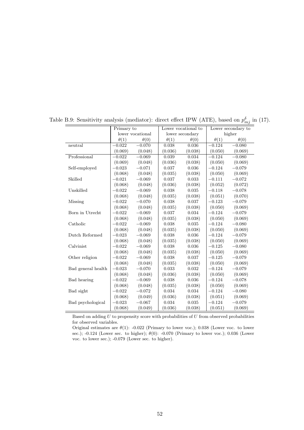|             |                  |                                                                                                          |             |             | Lower secondary to |
|-------------|------------------|----------------------------------------------------------------------------------------------------------|-------------|-------------|--------------------|
|             | lower vocational | lower secondary                                                                                          |             | higher      |                    |
| $\theta(1)$ | $\theta(0)$      | $\theta(1)$                                                                                              | $\theta(0)$ | $\theta(1)$ | $\theta(0)$        |
| $-0.022$    | $-0.070$         | 0.038                                                                                                    | 0.036       | $-0.124$    | $-0.080$           |
| (0.069)     | (0.048)          | (0.036)                                                                                                  | (0.038)     | (0.050)     | (0.069)            |
| $-0.022$    |                  | 0.039                                                                                                    | 0.034       | $-0.124$    | $-0.080$           |
| (0.069)     | (0.048)          | (0.036)                                                                                                  | (0.038)     | (0.050)     | (0.069)            |
| $-0.023$    |                  | 0.037                                                                                                    | 0.036       | $-0.124$    | $-0.079$           |
| (0.068)     | (0.048)          | (0.035)                                                                                                  | (0.038)     | (0.050)     | (0.069)            |
| $-0.021$    |                  | 0.037                                                                                                    | 0.033       | $-0.111$    | $-0.072$           |
| (0.068)     | (0.048)          | (0.036)                                                                                                  | (0.038)     | (0.052)     | (0.072)            |
| $-0.022$    | $-0.069$         | 0.038                                                                                                    | 0.035       | $-0.118$    | $-0.078$           |
| (0.068)     | (0.048)          | (0.035)                                                                                                  | (0.038)     | (0.051)     | (0.070)            |
| $-0.022$    |                  | 0.038                                                                                                    | 0.037       | $-0.123$    | $-0.079$           |
| (0.068)     | (0.048)          | (0.035)                                                                                                  | (0.038)     | (0.050)     | (0.069)            |
| $-0.022$    | $-0.069$         | 0.037                                                                                                    | 0.034       | $-0.124$    | $-0.079$           |
| (0.068)     | (0.048)          | (0.035)                                                                                                  | (0.038)     | (0.050)     | (0.069)            |
| $-0.022$    |                  | 0.038                                                                                                    | 0.035       | $-0.124$    | $-0.080$           |
| (0.068)     | (0.048)          | (0.035)                                                                                                  | (0.038)     | (0.050)     | (0.069)            |
| $-0.023$    |                  | 0.038                                                                                                    | 0.036       | $-0.124$    | $-0.079$           |
| (0.068)     | (0.048)          | (0.035)                                                                                                  | (0.038)     | (0.050)     | (0.069)            |
| $-0.022$    |                  | 0.038                                                                                                    | 0.036       | $-0.125$    | $-0.080$           |
| (0.068)     | (0.048)          | (0.035)                                                                                                  | (0.038)     | (0.050)     | (0.069)            |
| $-0.022$    |                  | 0.038                                                                                                    | 0.037       | $-0.125$    | $-0.079$           |
| (0.068)     | (0.048)          | (0.035)                                                                                                  | (0.038)     | (0.050)     | (0.069)            |
| $-0.023$    | $-0.070$         | 0.033                                                                                                    | 0.032       | $-0.124$    | $-0.079$           |
| (0.068)     | (0.048)          | (0.036)                                                                                                  | (0.038)     | (0.050)     | (0.069)            |
| $-0.022$    |                  | 0.038                                                                                                    | 0.036       | $-0.124$    | $-0.078$           |
| (0.068)     | (0.048)          | (0.035)                                                                                                  | (0.038)     | (0.050)     | (0.069)            |
| $-0.022$    | $-0.072$         | 0.034                                                                                                    | 0.034       | $-0.124$    | $-0.080$           |
| (0.068)     | (0.049)          | (0.036)                                                                                                  | (0.038)     | (0.051)     | (0.069)            |
| $-0.023$    | $-0.067$         | 0.034                                                                                                    | 0.035       | $-0.124$    | $-0.079$           |
| (0.068)     | (0.049)          | (0.036)                                                                                                  | (0.038)     | (0.051)     | (0.069)            |
|             |                  | $-0.069$<br>$-0.071$<br>$-0.069$<br>$-0.070$<br>$-0.069$<br>$-0.069$<br>$-0.069$<br>$-0.069$<br>$-0.069$ |             |             |                    |

Table B.9: Sensitivity analysis (mediator): direct effect IPW (ATE), based on  $p_{mj}^{\delta}$  in (17).

Based on adding *U* to propensity score with probabilities of *U* from observed probabilities for observed variables.

Original estimates are  $\theta(1)$ : -0.022 (Primary to lower voc.); 0.038 (Lower voc. to lower sec.); -0.124 (Lower sec. to higher); *θ*(0): -0.070 (Primary to lower voc.); 0.036 (Lower voc. to lower sec.); -0.079 (Lower sec. to higher).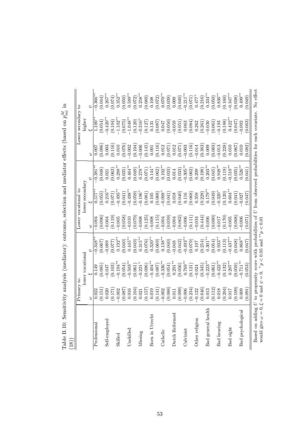|                                                            | Primary to                                                      |                                                                                                        |                                                 |                     | Lower vocational to                                                                                                                                                                       |                                                                                                                              |                                                                                                                                                 | Lower secondary to                                                                                                             |                                                                             |
|------------------------------------------------------------|-----------------------------------------------------------------|--------------------------------------------------------------------------------------------------------|-------------------------------------------------|---------------------|-------------------------------------------------------------------------------------------------------------------------------------------------------------------------------------------|------------------------------------------------------------------------------------------------------------------------------|-------------------------------------------------------------------------------------------------------------------------------------------------|--------------------------------------------------------------------------------------------------------------------------------|-----------------------------------------------------------------------------|
|                                                            |                                                                 | lower vocational                                                                                       |                                                 |                     | lower secondary                                                                                                                                                                           |                                                                                                                              |                                                                                                                                                 | higher                                                                                                                         |                                                                             |
|                                                            |                                                                 |                                                                                                        |                                                 | 3                   |                                                                                                                                                                                           |                                                                                                                              |                                                                                                                                                 |                                                                                                                                |                                                                             |
| Professional                                               | 0.022                                                           | 0.149                                                                                                  | $-0.348$ <sup>*</sup>                           | $-0.004$            | $0.577*$                                                                                                                                                                                  | $0.381$ <sup>*</sup>                                                                                                         |                                                                                                                                                 | $1.100*$                                                                                                                       | $0.366**$                                                                   |
|                                                            | (0.151)                                                         | (0.085)                                                                                                | (0.067)                                         | (0.096)             | $\begin{array}{c} (0.055) \\ 0.216^{*\ast} \end{array}$                                                                                                                                   | (0.048)                                                                                                                      |                                                                                                                                                 | (0.054)                                                                                                                        | $(0.044)$<br>0.267**                                                        |
| Self-employed                                              | 0.020                                                           | $-0.047$                                                                                               | $-0.089$                                        | $-0.004$            |                                                                                                                                                                                           | 0.021                                                                                                                        | $\begin{array}{c} (0.086) \\ 0.003 \end{array}$                                                                                                 | $-0.420**$                                                                                                                     |                                                                             |
|                                                            | (0.171)                                                         | (0.103)                                                                                                | (0.077)                                         | (0.119)             | (0.071)                                                                                                                                                                                   | (0.063)                                                                                                                      | $(0.116)$<br>0.010                                                                                                                              | (0.104)                                                                                                                        | $(0.074)$<br>0.352**                                                        |
| Skilled                                                    | $-0.002$                                                        | $-0.194**$                                                                                             | $0.192**$                                       | $-0.005$            | $-0.495**$                                                                                                                                                                                | $0.288^{**}$                                                                                                                 |                                                                                                                                                 | $-1.102**$                                                                                                                     |                                                                             |
|                                                            | (0.087)                                                         | (0.054)                                                                                                | (0.040)                                         | (0.058)             | (0.041)                                                                                                                                                                                   | (0.035)                                                                                                                      | (0.076)                                                                                                                                         | (0.075)                                                                                                                        | (0.050)                                                                     |
| Unskilled                                                  | 0.016                                                           | $-0.503**$                                                                                             | $0.445**$                                       | $-0.010$            | $-0.498**$                                                                                                                                                                                | $0.464***$                                                                                                                   | $-0.002$                                                                                                                                        | $-1.048**$                                                                                                                     | $0.589***$                                                                  |
|                                                            | $\left(0.104\right)$ $\left(0.021\right)$                       | $\begin{array}{c} (0.061) \\ -0.221^+ \\ (0.096) \\ -0.404^{**} \\ (0.087) \\ -0.336^{**} \end{array}$ | (0.049)                                         | (0.079)             | $(0.059)$<br>-0.196 <sup>+</sup>                                                                                                                                                          | (0.049)                                                                                                                      |                                                                                                                                                 | $(0.120)$<br>-0.310 <sup>+</sup>                                                                                               | $(0.072)$<br>0.258**                                                        |
| Missing                                                    |                                                                 |                                                                                                        | $0.315**$                                       | $-0.008$            |                                                                                                                                                                                           |                                                                                                                              |                                                                                                                                                 |                                                                                                                                |                                                                             |
|                                                            |                                                                 |                                                                                                        | (0.076)                                         | (0.125)             |                                                                                                                                                                                           |                                                                                                                              |                                                                                                                                                 | (0.127)                                                                                                                        |                                                                             |
| Born in Utrecht                                            |                                                                 |                                                                                                        | $0.320**$                                       | $-0.008$            |                                                                                                                                                                                           |                                                                                                                              |                                                                                                                                                 |                                                                                                                                |                                                                             |
|                                                            | $\begin{array}{c} (0.157) \\ 0.019 \\ 0.141) \end{array}$       |                                                                                                        | (0.069)                                         | $(0.115)$<br>-0.004 |                                                                                                                                                                                           |                                                                                                                              |                                                                                                                                                 |                                                                                                                                | $(0.089)$<br>0.108<br>0.072)<br>0.070**                                     |
| Catholic                                                   | $-0.002$                                                        |                                                                                                        | $0.138***$                                      |                     |                                                                                                                                                                                           |                                                                                                                              |                                                                                                                                                 |                                                                                                                                |                                                                             |
|                                                            | (0.088)                                                         | (0.054)                                                                                                | (0.040)                                         | $(0.059)$<br>-0.004 | $\begin{array}{c} (0.081) \\ 0.105 \\ 0.068) \\ (0.068) \\ (0.068) \\ (0.018) \\ (0.018) \\ (0.041) \\ (0.040) \\ (0.088) \\ (0.238) \\ (0.238) \\ (0.238) \\ (0.179^{**} \\ \end{array}$ | $\begin{array}{c} 0.278^{**} \\ (0.071) \\ (0.144^{+} \\ (0.062) \\ (0.062) \\ (0.033) \\ (0.033) \\ (0.034) \\ \end{array}$ | $\begin{array}{c} (0.104) \\ -0.006 \\ (0.145) \\ 0.001 \\ (0.116) \\ (0.012 \\ (0.071) \\ (0.071) \\ (0.071) \\ (0.071) \\ -0.003 \end{array}$ | $\begin{array}{c} (1.131 \\ (0.087) \\ (0.067) \\ (0.050) \\ (0.050) \\ (-0.059) \\ (0.051) \\ (0.063) \\ (0.064) \end{array}$ | $(0.039)$<br>0.009                                                          |
| Dutch Reformed                                             | $0.011\,$                                                       | $0.291***$                                                                                             | $-0.048$                                        |                     |                                                                                                                                                                                           |                                                                                                                              |                                                                                                                                                 |                                                                                                                                |                                                                             |
|                                                            | (0.099)                                                         | $(0.056)$<br>0.769**                                                                                   | (0.042)                                         | $(0.062)$<br>-0.006 |                                                                                                                                                                                           | (0.033)                                                                                                                      |                                                                                                                                                 |                                                                                                                                |                                                                             |
| Calvinist                                                  | $-0.006$                                                        |                                                                                                        | $-0.493**$                                      |                     |                                                                                                                                                                                           | $-0.305**$                                                                                                                   |                                                                                                                                                 |                                                                                                                                |                                                                             |
|                                                            | (0.234)                                                         | (0.121)                                                                                                | $\begin{array}{c} (0.079) \\ 0.107 \end{array}$ | (0.111)             |                                                                                                                                                                                           | $\begin{array}{c} (0.062) \\ 0.209 \end{array}$                                                                              | (0.116)                                                                                                                                         |                                                                                                                                | $\begin{array}{c} (0.040) \\ -0.211^{**} \\ (0.071) \\ 0.477^+ \end{array}$ |
| Other religion                                             | $-0.122$                                                        | $-0.024$                                                                                               |                                                 | $-0.034$            |                                                                                                                                                                                           |                                                                                                                              | $-0.014$                                                                                                                                        | 0.262                                                                                                                          |                                                                             |
|                                                            | (0.646)                                                         | $(0.345)$<br>-0.223**                                                                                  | (0.254)                                         | (0.444)             |                                                                                                                                                                                           | $(0.198)$<br>$0.203***$                                                                                                      |                                                                                                                                                 |                                                                                                                                | $\begin{array}{c} (0.216) \\ 0.334^{**} \end{array}$                        |
| Bad general health                                         | 0.013                                                           |                                                                                                        | $0.301***$                                      | $-0.006$            |                                                                                                                                                                                           |                                                                                                                              | $(0.383)$<br>0.009<br>0.0083)<br>$(0.083)$                                                                                                      | $\begin{array}{c} (0.261) \\ -0.030 \\ (0.061) \\ -0.193 \end{array}$                                                          |                                                                             |
|                                                            | (0.112)                                                         | $(0.061)$<br>-0.422**                                                                                  | (0.054)                                         | $(0.080)$<br>-0.017 |                                                                                                                                                                                           | $(0.045)$<br>0.948**                                                                                                         |                                                                                                                                                 |                                                                                                                                |                                                                             |
| Bad hearing                                                | 0.018                                                           |                                                                                                        | $0.933***$                                      |                     |                                                                                                                                                                                           |                                                                                                                              |                                                                                                                                                 |                                                                                                                                |                                                                             |
|                                                            | $\begin{array}{c} \text{(0.204)} \\ \text{(0.017)} \end{array}$ | (0.132)                                                                                                | (0.113)                                         | (0.170)             | $\begin{array}{c} (0.049) \\ -0.320^+ \\ (0.120) \\ 0.604^{**} \end{array}$                                                                                                               | $(0.119)$<br>-0.519**                                                                                                        | (0.228)                                                                                                                                         | $(0.188)$<br>0.422**                                                                                                           | $(0.050)$<br>$0.836**$<br>$(0.160)$<br>$-0.347**$                           |
| Bad sight                                                  |                                                                 | $0.207***$                                                                                             | $-0.437***$                                     | $-0.005$            |                                                                                                                                                                                           |                                                                                                                              | $0.010\,$                                                                                                                                       |                                                                                                                                |                                                                             |
|                                                            | (0.109)                                                         | (0.059)                                                                                                | (0.048)                                         | (0.068)             | (0.041)                                                                                                                                                                                   | (0.035)                                                                                                                      | (0.067)                                                                                                                                         | (0.047)                                                                                                                        | (0.038)                                                                     |
| Bad psychological                                          | 0.009                                                           | $0.711**$                                                                                              | $0.868**$                                       | $-0.006$            | $-0.027$                                                                                                                                                                                  | $0.526**$                                                                                                                    | 0.010                                                                                                                                           | $-0.092$                                                                                                                       | $0.499***$                                                                  |
|                                                            | (160.0)                                                         | (0.053)                                                                                                | (0.047)                                         | (0.071)             | (0.047)                                                                                                                                                                                   | (0.041)                                                                                                                      | (0.082)                                                                                                                                         | (0.063)                                                                                                                        | (0.049)                                                                     |
| would give $\omega = 0, \xi = 0$ and $\psi = 0$ .<br>Based |                                                                 | on adding $U$ to propensity score with probabilities of                                                | $+p < 0.05$ and $* p < 0.01$                    |                     |                                                                                                                                                                                           |                                                                                                                              |                                                                                                                                                 | U from observed probabilities for each covariate.                                                                              | No effect                                                                   |

Table B.10: Sensitivity analysis (mediator): outcome, selection and mediator effects (based on  $p_{mi}^M$  in